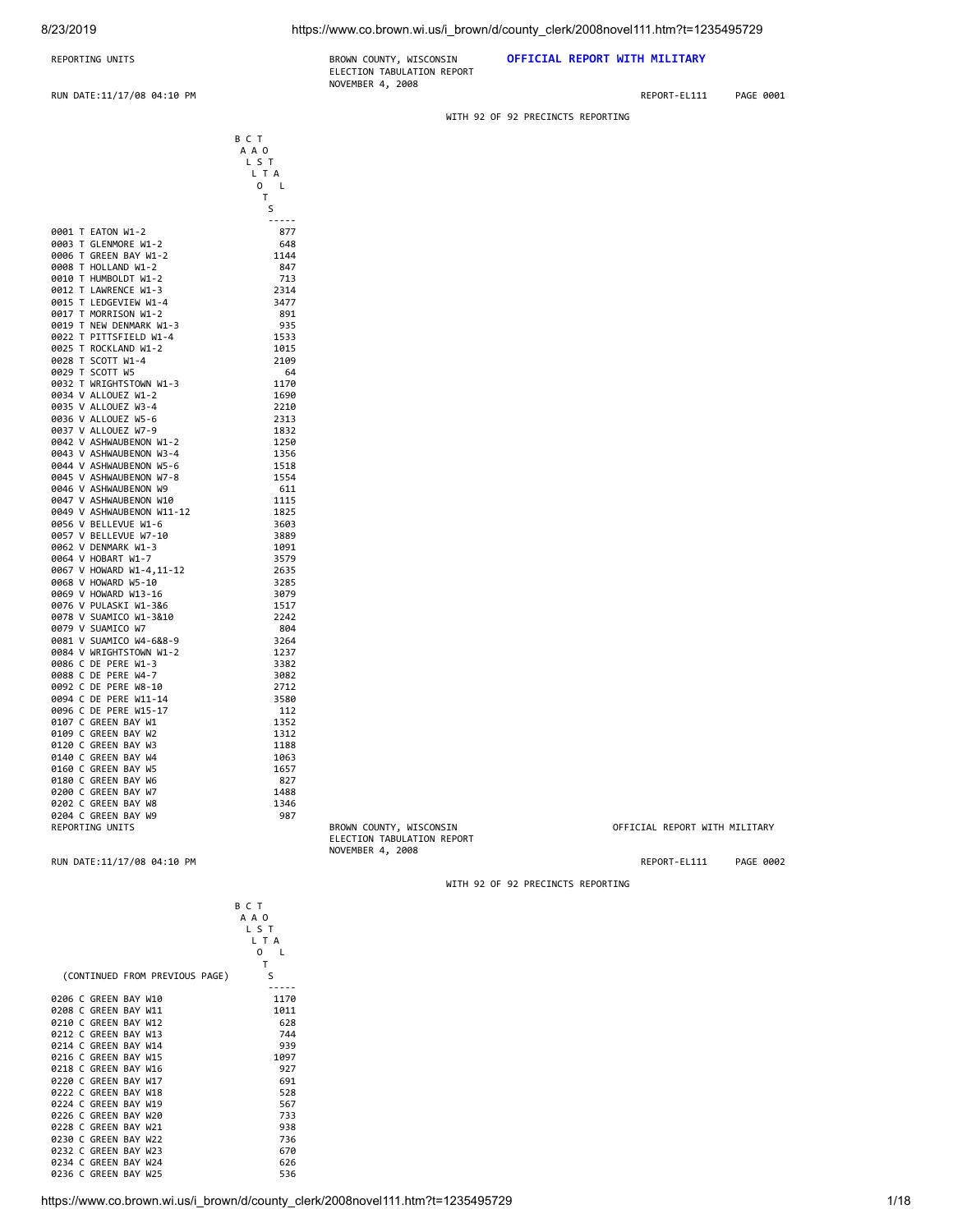8/23/2019 https://www.co.brown.wi.us/i\_brown/d/county\_clerk/2008novel111.htm?t=1235495729

REPORTING UNITS BROWN COUNTY, WISCONSIN **OFFICIAL REPORT WITH MILITARY**

 ELECTION TABULATION REPORT NOVEMBER 4, 2008 RUN DATE:11/17/08 04:10 PM **REPORT-EL111** PAGE 0001

B C T

 B C T  $A \times 0$ 

WITH 92 OF 92 PRECINCTS REPORTING

| L T A<br>0<br>L<br>т<br>S<br>T<br>0001<br>EATON W1-2<br>877<br>GLENMORE W1-2<br>0003<br>Т<br>648<br>GREEN BAY W1-2<br>0006<br>т<br>1144<br>T<br>HOLLAND W1-2<br>0008<br>847<br>HUMBOLDT W1-2<br>0010<br>Τ<br>713<br>0012<br>т<br>LAWRENCE W1-3<br>2314<br>LEDGEVIEW W1-4<br>0015<br>т<br>3477<br>0017<br>MORRISON W1-2<br>891<br>Τ<br>NEW DENMARK W1-3<br>0019<br>т<br>935<br>PITTSFIELD W1-4<br>0022<br>т<br>1533<br>0025<br>т<br>ROCKLAND W1-2<br>1015<br>0028<br>SCOTT W1-4<br>2109<br>т<br>0029<br>T<br>SCOTT W5<br>64<br>WRIGHTSTOWN W1-3<br>0032<br>T<br>1170<br>0034<br>ALLOUEZ<br>$W1-2$<br>V<br>1690<br>V ALLOUEZ<br>$W3 - 4$<br>2210<br>0035<br>V ALLOUEZ<br>0036<br>W5-6<br>2313<br>V ALLOUEZ W7-9<br>0037<br>1832<br>0042<br>V ASHWAUBENON W1-2<br>1250<br>V ASHWAUBENON W3-4<br>0043<br>1356<br>0044<br>V ASHWAUBENON W5-6<br>1518<br>V ASHWAUBENON W7-8<br>0045<br>1554<br>0046<br>V ASHWAUBENON W9<br>611<br>V ASHWAUBENON W10<br>0047<br>1115<br>0049<br>v<br>ASHWAUBENON W11-12<br>1825<br>0056<br>V BELLEVUE W1-6<br>3603<br>0057<br>V BELLEVUE W7-10<br>3889<br>V DENMARK W1-3<br>0062<br>1091<br>HOBART W1-7<br>0064<br>V<br>3579<br>V HOWARD W1-4, 11-12<br>0067<br>2635<br>0068<br>V HOWARD W5-10<br>3285<br>HOWARD W13-16<br>0069<br>v<br>3079<br>0076<br>V PULASKI W1-3&6<br>1517<br>SUAMICO W1-3&10<br>2242<br>0078<br>٧<br>0079<br>V SUAMICO W7<br>804<br>0081<br>SUAMICO W4-6&8-9<br>v<br>3264<br>V WRIGHTSTOWN W1-2<br>0084<br>1237<br>C<br>DE<br>PERE<br>$W1 - 3$<br>0086<br>3382<br>0088<br>C<br>DE<br>PERE<br>W4-7<br>3082<br>C<br>W8-10<br>0092<br>DE<br>PERE<br>2712<br>0094<br>c<br>DE<br>PERE<br>$W11 - 14$<br>3580<br>Ċ<br>$W15 - 17$<br>0096<br>DE PERE<br>112<br>GREEN<br>0107<br>c<br>BAY W1<br>1352<br>0109<br>c<br>GREEN<br>BAY W2<br>1312<br>C<br>0120<br>GREEN<br>BAY<br>W <sub>3</sub><br>1188<br>0140<br>C<br>GREEN<br>BAY<br>W4<br>1063<br>0160<br>C<br>GREEN<br>BAY<br>W <sub>5</sub><br>1657<br>0180<br>c<br>GREEN<br>BAY<br>W <sub>6</sub><br>827<br>0200<br>C<br>BAY<br><b>GREEN</b><br>W7<br>1488<br>0202<br>c<br><b>GREEN</b><br>BAY<br>W <sub>8</sub><br>1346<br>0204<br>C<br>GREEN BAY W9<br>987 |  | A A O |
|--------------------------------------------------------------------------------------------------------------------------------------------------------------------------------------------------------------------------------------------------------------------------------------------------------------------------------------------------------------------------------------------------------------------------------------------------------------------------------------------------------------------------------------------------------------------------------------------------------------------------------------------------------------------------------------------------------------------------------------------------------------------------------------------------------------------------------------------------------------------------------------------------------------------------------------------------------------------------------------------------------------------------------------------------------------------------------------------------------------------------------------------------------------------------------------------------------------------------------------------------------------------------------------------------------------------------------------------------------------------------------------------------------------------------------------------------------------------------------------------------------------------------------------------------------------------------------------------------------------------------------------------------------------------------------------------------------------------------------------------------------------------------------------------------------------------------------------------------------------------------------------------------------------------------------------------------------------------------------------------------------------------------------------------------------------------------------------------------------------------------------------------------------|--|-------|
|                                                                                                                                                                                                                                                                                                                                                                                                                                                                                                                                                                                                                                                                                                                                                                                                                                                                                                                                                                                                                                                                                                                                                                                                                                                                                                                                                                                                                                                                                                                                                                                                                                                                                                                                                                                                                                                                                                                                                                                                                                                                                                                                                        |  | L S T |
|                                                                                                                                                                                                                                                                                                                                                                                                                                                                                                                                                                                                                                                                                                                                                                                                                                                                                                                                                                                                                                                                                                                                                                                                                                                                                                                                                                                                                                                                                                                                                                                                                                                                                                                                                                                                                                                                                                                                                                                                                                                                                                                                                        |  |       |
|                                                                                                                                                                                                                                                                                                                                                                                                                                                                                                                                                                                                                                                                                                                                                                                                                                                                                                                                                                                                                                                                                                                                                                                                                                                                                                                                                                                                                                                                                                                                                                                                                                                                                                                                                                                                                                                                                                                                                                                                                                                                                                                                                        |  |       |
|                                                                                                                                                                                                                                                                                                                                                                                                                                                                                                                                                                                                                                                                                                                                                                                                                                                                                                                                                                                                                                                                                                                                                                                                                                                                                                                                                                                                                                                                                                                                                                                                                                                                                                                                                                                                                                                                                                                                                                                                                                                                                                                                                        |  |       |
|                                                                                                                                                                                                                                                                                                                                                                                                                                                                                                                                                                                                                                                                                                                                                                                                                                                                                                                                                                                                                                                                                                                                                                                                                                                                                                                                                                                                                                                                                                                                                                                                                                                                                                                                                                                                                                                                                                                                                                                                                                                                                                                                                        |  |       |
|                                                                                                                                                                                                                                                                                                                                                                                                                                                                                                                                                                                                                                                                                                                                                                                                                                                                                                                                                                                                                                                                                                                                                                                                                                                                                                                                                                                                                                                                                                                                                                                                                                                                                                                                                                                                                                                                                                                                                                                                                                                                                                                                                        |  |       |
|                                                                                                                                                                                                                                                                                                                                                                                                                                                                                                                                                                                                                                                                                                                                                                                                                                                                                                                                                                                                                                                                                                                                                                                                                                                                                                                                                                                                                                                                                                                                                                                                                                                                                                                                                                                                                                                                                                                                                                                                                                                                                                                                                        |  |       |
|                                                                                                                                                                                                                                                                                                                                                                                                                                                                                                                                                                                                                                                                                                                                                                                                                                                                                                                                                                                                                                                                                                                                                                                                                                                                                                                                                                                                                                                                                                                                                                                                                                                                                                                                                                                                                                                                                                                                                                                                                                                                                                                                                        |  |       |
|                                                                                                                                                                                                                                                                                                                                                                                                                                                                                                                                                                                                                                                                                                                                                                                                                                                                                                                                                                                                                                                                                                                                                                                                                                                                                                                                                                                                                                                                                                                                                                                                                                                                                                                                                                                                                                                                                                                                                                                                                                                                                                                                                        |  |       |
|                                                                                                                                                                                                                                                                                                                                                                                                                                                                                                                                                                                                                                                                                                                                                                                                                                                                                                                                                                                                                                                                                                                                                                                                                                                                                                                                                                                                                                                                                                                                                                                                                                                                                                                                                                                                                                                                                                                                                                                                                                                                                                                                                        |  |       |
|                                                                                                                                                                                                                                                                                                                                                                                                                                                                                                                                                                                                                                                                                                                                                                                                                                                                                                                                                                                                                                                                                                                                                                                                                                                                                                                                                                                                                                                                                                                                                                                                                                                                                                                                                                                                                                                                                                                                                                                                                                                                                                                                                        |  |       |
|                                                                                                                                                                                                                                                                                                                                                                                                                                                                                                                                                                                                                                                                                                                                                                                                                                                                                                                                                                                                                                                                                                                                                                                                                                                                                                                                                                                                                                                                                                                                                                                                                                                                                                                                                                                                                                                                                                                                                                                                                                                                                                                                                        |  |       |
|                                                                                                                                                                                                                                                                                                                                                                                                                                                                                                                                                                                                                                                                                                                                                                                                                                                                                                                                                                                                                                                                                                                                                                                                                                                                                                                                                                                                                                                                                                                                                                                                                                                                                                                                                                                                                                                                                                                                                                                                                                                                                                                                                        |  |       |
|                                                                                                                                                                                                                                                                                                                                                                                                                                                                                                                                                                                                                                                                                                                                                                                                                                                                                                                                                                                                                                                                                                                                                                                                                                                                                                                                                                                                                                                                                                                                                                                                                                                                                                                                                                                                                                                                                                                                                                                                                                                                                                                                                        |  |       |
|                                                                                                                                                                                                                                                                                                                                                                                                                                                                                                                                                                                                                                                                                                                                                                                                                                                                                                                                                                                                                                                                                                                                                                                                                                                                                                                                                                                                                                                                                                                                                                                                                                                                                                                                                                                                                                                                                                                                                                                                                                                                                                                                                        |  |       |
|                                                                                                                                                                                                                                                                                                                                                                                                                                                                                                                                                                                                                                                                                                                                                                                                                                                                                                                                                                                                                                                                                                                                                                                                                                                                                                                                                                                                                                                                                                                                                                                                                                                                                                                                                                                                                                                                                                                                                                                                                                                                                                                                                        |  |       |
|                                                                                                                                                                                                                                                                                                                                                                                                                                                                                                                                                                                                                                                                                                                                                                                                                                                                                                                                                                                                                                                                                                                                                                                                                                                                                                                                                                                                                                                                                                                                                                                                                                                                                                                                                                                                                                                                                                                                                                                                                                                                                                                                                        |  |       |
|                                                                                                                                                                                                                                                                                                                                                                                                                                                                                                                                                                                                                                                                                                                                                                                                                                                                                                                                                                                                                                                                                                                                                                                                                                                                                                                                                                                                                                                                                                                                                                                                                                                                                                                                                                                                                                                                                                                                                                                                                                                                                                                                                        |  |       |
|                                                                                                                                                                                                                                                                                                                                                                                                                                                                                                                                                                                                                                                                                                                                                                                                                                                                                                                                                                                                                                                                                                                                                                                                                                                                                                                                                                                                                                                                                                                                                                                                                                                                                                                                                                                                                                                                                                                                                                                                                                                                                                                                                        |  |       |
|                                                                                                                                                                                                                                                                                                                                                                                                                                                                                                                                                                                                                                                                                                                                                                                                                                                                                                                                                                                                                                                                                                                                                                                                                                                                                                                                                                                                                                                                                                                                                                                                                                                                                                                                                                                                                                                                                                                                                                                                                                                                                                                                                        |  |       |
|                                                                                                                                                                                                                                                                                                                                                                                                                                                                                                                                                                                                                                                                                                                                                                                                                                                                                                                                                                                                                                                                                                                                                                                                                                                                                                                                                                                                                                                                                                                                                                                                                                                                                                                                                                                                                                                                                                                                                                                                                                                                                                                                                        |  |       |
|                                                                                                                                                                                                                                                                                                                                                                                                                                                                                                                                                                                                                                                                                                                                                                                                                                                                                                                                                                                                                                                                                                                                                                                                                                                                                                                                                                                                                                                                                                                                                                                                                                                                                                                                                                                                                                                                                                                                                                                                                                                                                                                                                        |  |       |
|                                                                                                                                                                                                                                                                                                                                                                                                                                                                                                                                                                                                                                                                                                                                                                                                                                                                                                                                                                                                                                                                                                                                                                                                                                                                                                                                                                                                                                                                                                                                                                                                                                                                                                                                                                                                                                                                                                                                                                                                                                                                                                                                                        |  |       |
|                                                                                                                                                                                                                                                                                                                                                                                                                                                                                                                                                                                                                                                                                                                                                                                                                                                                                                                                                                                                                                                                                                                                                                                                                                                                                                                                                                                                                                                                                                                                                                                                                                                                                                                                                                                                                                                                                                                                                                                                                                                                                                                                                        |  |       |
|                                                                                                                                                                                                                                                                                                                                                                                                                                                                                                                                                                                                                                                                                                                                                                                                                                                                                                                                                                                                                                                                                                                                                                                                                                                                                                                                                                                                                                                                                                                                                                                                                                                                                                                                                                                                                                                                                                                                                                                                                                                                                                                                                        |  |       |
|                                                                                                                                                                                                                                                                                                                                                                                                                                                                                                                                                                                                                                                                                                                                                                                                                                                                                                                                                                                                                                                                                                                                                                                                                                                                                                                                                                                                                                                                                                                                                                                                                                                                                                                                                                                                                                                                                                                                                                                                                                                                                                                                                        |  |       |
|                                                                                                                                                                                                                                                                                                                                                                                                                                                                                                                                                                                                                                                                                                                                                                                                                                                                                                                                                                                                                                                                                                                                                                                                                                                                                                                                                                                                                                                                                                                                                                                                                                                                                                                                                                                                                                                                                                                                                                                                                                                                                                                                                        |  |       |
|                                                                                                                                                                                                                                                                                                                                                                                                                                                                                                                                                                                                                                                                                                                                                                                                                                                                                                                                                                                                                                                                                                                                                                                                                                                                                                                                                                                                                                                                                                                                                                                                                                                                                                                                                                                                                                                                                                                                                                                                                                                                                                                                                        |  |       |
|                                                                                                                                                                                                                                                                                                                                                                                                                                                                                                                                                                                                                                                                                                                                                                                                                                                                                                                                                                                                                                                                                                                                                                                                                                                                                                                                                                                                                                                                                                                                                                                                                                                                                                                                                                                                                                                                                                                                                                                                                                                                                                                                                        |  |       |
|                                                                                                                                                                                                                                                                                                                                                                                                                                                                                                                                                                                                                                                                                                                                                                                                                                                                                                                                                                                                                                                                                                                                                                                                                                                                                                                                                                                                                                                                                                                                                                                                                                                                                                                                                                                                                                                                                                                                                                                                                                                                                                                                                        |  |       |
|                                                                                                                                                                                                                                                                                                                                                                                                                                                                                                                                                                                                                                                                                                                                                                                                                                                                                                                                                                                                                                                                                                                                                                                                                                                                                                                                                                                                                                                                                                                                                                                                                                                                                                                                                                                                                                                                                                                                                                                                                                                                                                                                                        |  |       |
|                                                                                                                                                                                                                                                                                                                                                                                                                                                                                                                                                                                                                                                                                                                                                                                                                                                                                                                                                                                                                                                                                                                                                                                                                                                                                                                                                                                                                                                                                                                                                                                                                                                                                                                                                                                                                                                                                                                                                                                                                                                                                                                                                        |  |       |
|                                                                                                                                                                                                                                                                                                                                                                                                                                                                                                                                                                                                                                                                                                                                                                                                                                                                                                                                                                                                                                                                                                                                                                                                                                                                                                                                                                                                                                                                                                                                                                                                                                                                                                                                                                                                                                                                                                                                                                                                                                                                                                                                                        |  |       |
|                                                                                                                                                                                                                                                                                                                                                                                                                                                                                                                                                                                                                                                                                                                                                                                                                                                                                                                                                                                                                                                                                                                                                                                                                                                                                                                                                                                                                                                                                                                                                                                                                                                                                                                                                                                                                                                                                                                                                                                                                                                                                                                                                        |  |       |
|                                                                                                                                                                                                                                                                                                                                                                                                                                                                                                                                                                                                                                                                                                                                                                                                                                                                                                                                                                                                                                                                                                                                                                                                                                                                                                                                                                                                                                                                                                                                                                                                                                                                                                                                                                                                                                                                                                                                                                                                                                                                                                                                                        |  |       |
|                                                                                                                                                                                                                                                                                                                                                                                                                                                                                                                                                                                                                                                                                                                                                                                                                                                                                                                                                                                                                                                                                                                                                                                                                                                                                                                                                                                                                                                                                                                                                                                                                                                                                                                                                                                                                                                                                                                                                                                                                                                                                                                                                        |  |       |
|                                                                                                                                                                                                                                                                                                                                                                                                                                                                                                                                                                                                                                                                                                                                                                                                                                                                                                                                                                                                                                                                                                                                                                                                                                                                                                                                                                                                                                                                                                                                                                                                                                                                                                                                                                                                                                                                                                                                                                                                                                                                                                                                                        |  |       |
|                                                                                                                                                                                                                                                                                                                                                                                                                                                                                                                                                                                                                                                                                                                                                                                                                                                                                                                                                                                                                                                                                                                                                                                                                                                                                                                                                                                                                                                                                                                                                                                                                                                                                                                                                                                                                                                                                                                                                                                                                                                                                                                                                        |  |       |
|                                                                                                                                                                                                                                                                                                                                                                                                                                                                                                                                                                                                                                                                                                                                                                                                                                                                                                                                                                                                                                                                                                                                                                                                                                                                                                                                                                                                                                                                                                                                                                                                                                                                                                                                                                                                                                                                                                                                                                                                                                                                                                                                                        |  |       |
|                                                                                                                                                                                                                                                                                                                                                                                                                                                                                                                                                                                                                                                                                                                                                                                                                                                                                                                                                                                                                                                                                                                                                                                                                                                                                                                                                                                                                                                                                                                                                                                                                                                                                                                                                                                                                                                                                                                                                                                                                                                                                                                                                        |  |       |
|                                                                                                                                                                                                                                                                                                                                                                                                                                                                                                                                                                                                                                                                                                                                                                                                                                                                                                                                                                                                                                                                                                                                                                                                                                                                                                                                                                                                                                                                                                                                                                                                                                                                                                                                                                                                                                                                                                                                                                                                                                                                                                                                                        |  |       |
|                                                                                                                                                                                                                                                                                                                                                                                                                                                                                                                                                                                                                                                                                                                                                                                                                                                                                                                                                                                                                                                                                                                                                                                                                                                                                                                                                                                                                                                                                                                                                                                                                                                                                                                                                                                                                                                                                                                                                                                                                                                                                                                                                        |  |       |
|                                                                                                                                                                                                                                                                                                                                                                                                                                                                                                                                                                                                                                                                                                                                                                                                                                                                                                                                                                                                                                                                                                                                                                                                                                                                                                                                                                                                                                                                                                                                                                                                                                                                                                                                                                                                                                                                                                                                                                                                                                                                                                                                                        |  |       |
|                                                                                                                                                                                                                                                                                                                                                                                                                                                                                                                                                                                                                                                                                                                                                                                                                                                                                                                                                                                                                                                                                                                                                                                                                                                                                                                                                                                                                                                                                                                                                                                                                                                                                                                                                                                                                                                                                                                                                                                                                                                                                                                                                        |  |       |
|                                                                                                                                                                                                                                                                                                                                                                                                                                                                                                                                                                                                                                                                                                                                                                                                                                                                                                                                                                                                                                                                                                                                                                                                                                                                                                                                                                                                                                                                                                                                                                                                                                                                                                                                                                                                                                                                                                                                                                                                                                                                                                                                                        |  |       |
|                                                                                                                                                                                                                                                                                                                                                                                                                                                                                                                                                                                                                                                                                                                                                                                                                                                                                                                                                                                                                                                                                                                                                                                                                                                                                                                                                                                                                                                                                                                                                                                                                                                                                                                                                                                                                                                                                                                                                                                                                                                                                                                                                        |  |       |
|                                                                                                                                                                                                                                                                                                                                                                                                                                                                                                                                                                                                                                                                                                                                                                                                                                                                                                                                                                                                                                                                                                                                                                                                                                                                                                                                                                                                                                                                                                                                                                                                                                                                                                                                                                                                                                                                                                                                                                                                                                                                                                                                                        |  |       |
|                                                                                                                                                                                                                                                                                                                                                                                                                                                                                                                                                                                                                                                                                                                                                                                                                                                                                                                                                                                                                                                                                                                                                                                                                                                                                                                                                                                                                                                                                                                                                                                                                                                                                                                                                                                                                                                                                                                                                                                                                                                                                                                                                        |  |       |
|                                                                                                                                                                                                                                                                                                                                                                                                                                                                                                                                                                                                                                                                                                                                                                                                                                                                                                                                                                                                                                                                                                                                                                                                                                                                                                                                                                                                                                                                                                                                                                                                                                                                                                                                                                                                                                                                                                                                                                                                                                                                                                                                                        |  |       |
|                                                                                                                                                                                                                                                                                                                                                                                                                                                                                                                                                                                                                                                                                                                                                                                                                                                                                                                                                                                                                                                                                                                                                                                                                                                                                                                                                                                                                                                                                                                                                                                                                                                                                                                                                                                                                                                                                                                                                                                                                                                                                                                                                        |  |       |
|                                                                                                                                                                                                                                                                                                                                                                                                                                                                                                                                                                                                                                                                                                                                                                                                                                                                                                                                                                                                                                                                                                                                                                                                                                                                                                                                                                                                                                                                                                                                                                                                                                                                                                                                                                                                                                                                                                                                                                                                                                                                                                                                                        |  |       |
|                                                                                                                                                                                                                                                                                                                                                                                                                                                                                                                                                                                                                                                                                                                                                                                                                                                                                                                                                                                                                                                                                                                                                                                                                                                                                                                                                                                                                                                                                                                                                                                                                                                                                                                                                                                                                                                                                                                                                                                                                                                                                                                                                        |  |       |
|                                                                                                                                                                                                                                                                                                                                                                                                                                                                                                                                                                                                                                                                                                                                                                                                                                                                                                                                                                                                                                                                                                                                                                                                                                                                                                                                                                                                                                                                                                                                                                                                                                                                                                                                                                                                                                                                                                                                                                                                                                                                                                                                                        |  |       |
|                                                                                                                                                                                                                                                                                                                                                                                                                                                                                                                                                                                                                                                                                                                                                                                                                                                                                                                                                                                                                                                                                                                                                                                                                                                                                                                                                                                                                                                                                                                                                                                                                                                                                                                                                                                                                                                                                                                                                                                                                                                                                                                                                        |  |       |
|                                                                                                                                                                                                                                                                                                                                                                                                                                                                                                                                                                                                                                                                                                                                                                                                                                                                                                                                                                                                                                                                                                                                                                                                                                                                                                                                                                                                                                                                                                                                                                                                                                                                                                                                                                                                                                                                                                                                                                                                                                                                                                                                                        |  |       |
|                                                                                                                                                                                                                                                                                                                                                                                                                                                                                                                                                                                                                                                                                                                                                                                                                                                                                                                                                                                                                                                                                                                                                                                                                                                                                                                                                                                                                                                                                                                                                                                                                                                                                                                                                                                                                                                                                                                                                                                                                                                                                                                                                        |  |       |
|                                                                                                                                                                                                                                                                                                                                                                                                                                                                                                                                                                                                                                                                                                                                                                                                                                                                                                                                                                                                                                                                                                                                                                                                                                                                                                                                                                                                                                                                                                                                                                                                                                                                                                                                                                                                                                                                                                                                                                                                                                                                                                                                                        |  |       |

REPORTING UNITS BROWN COUNTY, WISCONSIN OFFICIAL REPORT WITH MILITARY ELECTION TABULATION REPORT NOVEMBER 4, 2008

RUN DATE:11/17/08 04:10 PM **REPORT-EL111** PAGE 0002

WITH 92 OF 92 PRECINCTS REPORTING

| (CONTINUED FROM PREVIOUS PAGE) |  |  |  |
|--------------------------------|--|--|--|

|  | 0206 C GREEN BAY W10 |  | 1170 |
|--|----------------------|--|------|
|  | 0208 C GREEN BAY W11 |  | 1011 |
|  | 0210 C GREEN BAY W12 |  | 628  |
|  | 0212 C GREEN BAY W13 |  | 744  |
|  | 0214 C GREEN BAY W14 |  | 939  |
|  | 0216 C GREEN BAY W15 |  | 1097 |
|  | 0218 C GREEN BAY W16 |  | 927  |
|  | 0220 C GREEN BAY W17 |  | 691  |
|  | 0222 C GREEN BAY W18 |  | 528  |
|  | 0224 C GREEN BAY W19 |  | 567  |
|  | 0226 C GREEN BAY W20 |  | 733  |
|  | 0228 C GREEN BAY W21 |  | 938  |
|  | 0230 C GREEN BAY W22 |  | 736  |
|  | 0232 C GREEN BAY W23 |  | 670  |
|  | 0234 C GREEN BAY W24 |  | 626  |
|  | 0236 C GREEN BAY W25 |  | 536  |

L S T L T A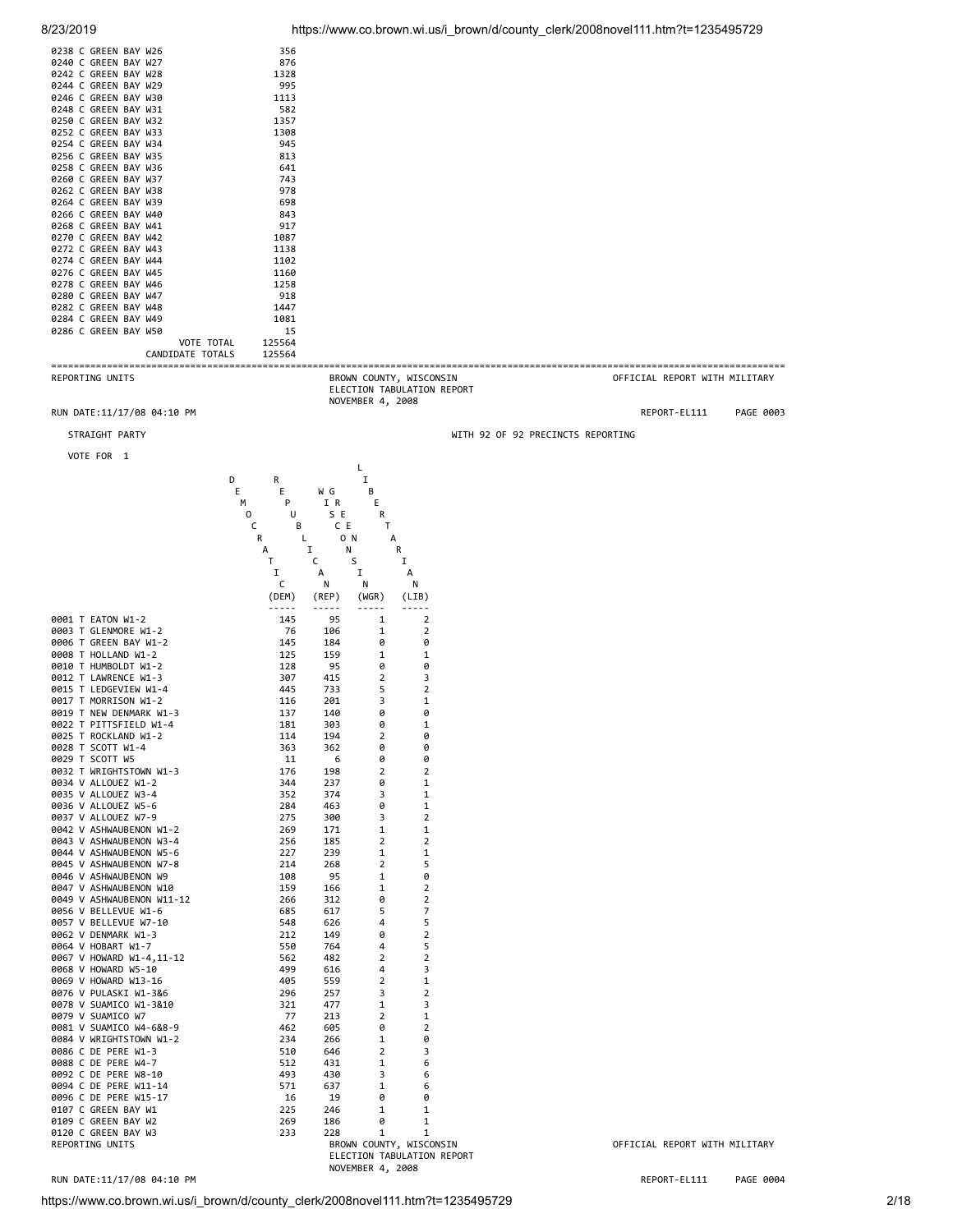| 0238 C GREEN BAY W26<br>0240 C GREEN BAY W27<br>0242 C GREEN BAY W28<br>0244 C GREEN BAY W29<br>0246 C GREEN BAY W30<br>0248 C GREEN BAY W31<br>0250 C GREEN BAY W32<br>0252 C GREEN BAY W33<br>0254 C GREEN BAY W34<br>0256 C GREEN BAY W35<br>0258 C GREEN BAY W36<br>0260 C GREEN BAY W37<br>0262 C GREEN BAY W38<br>0264 C GREEN BAY W39<br>0266 C GREEN BAY W40<br>0268 C GREEN BAY W41<br>0270 C GREEN BAY W42<br>0272 C GREEN BAY W43<br>0274 C GREEN BAY W44<br>0276 C GREEN BAY W45<br>0278 C GREEN BAY W46<br>0280 C GREEN BAY W47<br>0282 C GREEN BAY W48<br>0284 C GREEN BAY W49<br>0286 C GREEN BAY W50<br>VOTE TOTAL<br>CANDIDATE TOTALS<br>REPORTING UNITS | 356<br>876<br>1328<br>995<br>1113<br>582<br>1357<br>1308<br>945<br>813<br>641<br>743<br>978<br>698<br>843<br>917<br>1087<br>1138<br>1102<br>1160<br>1258<br>918<br>1447<br>1081<br>15<br>125564<br>125564<br>BROWN COUNTY, WISCONSIN                                                                                                                                                                                                                                                                                                                   | OFFICIAL REPORT WITH MILITARY |
|---------------------------------------------------------------------------------------------------------------------------------------------------------------------------------------------------------------------------------------------------------------------------------------------------------------------------------------------------------------------------------------------------------------------------------------------------------------------------------------------------------------------------------------------------------------------------------------------------------------------------------------------------------------------------|--------------------------------------------------------------------------------------------------------------------------------------------------------------------------------------------------------------------------------------------------------------------------------------------------------------------------------------------------------------------------------------------------------------------------------------------------------------------------------------------------------------------------------------------------------|-------------------------------|
|                                                                                                                                                                                                                                                                                                                                                                                                                                                                                                                                                                                                                                                                           | ELECTION TABULATION REPORT<br>NOVEMBER 4, 2008                                                                                                                                                                                                                                                                                                                                                                                                                                                                                                         |                               |
| RUN DATE:11/17/08 04:10 PM                                                                                                                                                                                                                                                                                                                                                                                                                                                                                                                                                                                                                                                |                                                                                                                                                                                                                                                                                                                                                                                                                                                                                                                                                        | REPORT-EL111<br>PAGE 0003     |
| STRAIGHT PARTY                                                                                                                                                                                                                                                                                                                                                                                                                                                                                                                                                                                                                                                            | WITH 92 OF 92 PRECINCTS REPORTING                                                                                                                                                                                                                                                                                                                                                                                                                                                                                                                      |                               |
| Е<br>м<br>0<br>С<br>R<br>А<br>Τ<br>I<br>0001 T EATON W1-2<br>0003 T GLENMORE W1-2<br>0006 T GREEN BAY W1-2                                                                                                                                                                                                                                                                                                                                                                                                                                                                                                                                                                | В<br>E<br>W G<br>I R<br>Е<br>P<br>S E<br>U<br>R<br>В<br>C E<br>Т<br>O N<br>L.<br>А<br>Ν<br>R<br>Ι.<br>S<br>C<br>I<br>I<br>А<br>А<br>C<br>Ν<br>N<br>Ν<br>(REP)<br>(DEM)<br>(WGR)<br>(LIB)<br>-----<br>-----<br>-----<br>-----<br>145<br>95<br>$\overline{2}$<br>1<br>76<br>106<br>1<br>2<br>145<br>184<br>0<br>0                                                                                                                                                                                                                                        |                               |
| 0008 T HOLLAND W1-2<br>0010 T HUMBOLDT W1-2<br>0012 T LAWRENCE W1-3<br>0015 T LEDGEVIEW W1-4<br>0017 T MORRISON W1-2<br>0019 T NEW DENMARK W1-3<br>0022 T PITTSFIELD W1-4<br>0025 T ROCKLAND W1-2<br>0028 T SCOTT W1-4<br>0029 T SCOTT W5<br>0032 T WRIGHTSTOWN W1-3<br>0034 V ALLOUEZ W1-2<br>0035 V ALLOUEZ W3-4<br>0036 V ALLOUEZ W5-6<br>0037 V ALLOUEZ W7-9<br>0042 V ASHWAUBENON W1-2<br>0043 V ASHWAUBENON W3-4<br>0044 V ASHWAUBENON W5-6<br>0045 V ASHWAUBENON W7-8<br>0046 V ASHWAUBENON W9<br>0047 V ASHWAUBENON W10                                                                                                                                           | 125<br>159<br>1<br>1<br>128<br>95<br>0<br>0<br>307<br>415<br>2<br>3<br>5<br>$\overline{2}$<br>445<br>733<br>116<br>201<br>3<br>1<br>137<br>140<br>0<br>0<br>181<br>303<br>0<br>1<br>$\overline{2}$<br>0<br>114<br>194<br>0<br>0<br>363<br>362<br>11<br>0<br>0<br>6<br>176<br>198<br>2<br>2<br>0<br>344<br>237<br>1<br>3<br>352<br>374<br>1<br>284<br>463<br>0<br>1<br>275<br>300<br>3<br>2<br>269<br>1<br>1<br>171<br>256<br>185<br>2<br>2<br>227<br>239<br>1<br>1<br>214<br>268<br>2<br>5<br>0<br>108<br>95<br>1<br>$\overline{2}$<br>159<br>1<br>166 |                               |
| 0049 V ASHWAUBENON W11-12<br>0056 V BELLEVUE W1-6<br>0057 V BELLEVUE W7-10<br>0062 V DENMARK W1-3<br>0064 V HOBART W1-7<br>0067 V HOWARD W1-4,11-12<br>0068 V HOWARD W5-10<br>0069 V HOWARD W13-16<br>0076 V PULASKI W1-3&6<br>0078 V SUAMICO W1-3&10<br>0079 V SUAMICO W7<br>0081 V SUAMICO W4-6&8-9<br>0084 V WRIGHTSTOWN W1-2<br>0086 C DE PERE W1-3<br>0088 C DE PERE W4-7<br>0092 C DE PERE W8-10<br>0094 C DE PERE W11-14<br>0096 C DE PERE W15-17<br>0107 C GREEN BAY W1<br>0109 C GREEN BAY W2                                                                                                                                                                    | 312<br>0<br>2<br>266<br>685<br>617<br>5<br>7<br>5<br>548<br>626<br>4<br>$\overline{2}$<br>212<br>149<br>0<br>5<br>550<br>764<br>4<br>$\overline{2}$<br>562<br>482<br>2<br>3<br>499<br>616<br>4<br>405<br>559<br>2<br>1<br>296<br>257<br>3<br>2<br>321<br>477<br>1<br>3<br>77<br>213<br>2<br>1<br>$\overline{2}$<br>605<br>0<br>462<br>234<br>266<br>1<br>0<br>510<br>2<br>3<br>646<br>512<br>6<br>431<br>1<br>493<br>430<br>3<br>6<br>571<br>637<br>1<br>6<br>16<br>0<br>19<br>0<br>225<br>1<br>246<br>1<br>269<br>186<br>0<br>1                       |                               |
| 0120 C GREEN BAY W3<br>REPORTING UNITS                                                                                                                                                                                                                                                                                                                                                                                                                                                                                                                                                                                                                                    | 233<br>228<br>1<br>1<br>BROWN COUNTY, WISCONSIN<br>ELECTION TABULATION REPORT<br>NOVEMBER 4, 2008                                                                                                                                                                                                                                                                                                                                                                                                                                                      | OFFICIAL REPORT WITH MILITARY |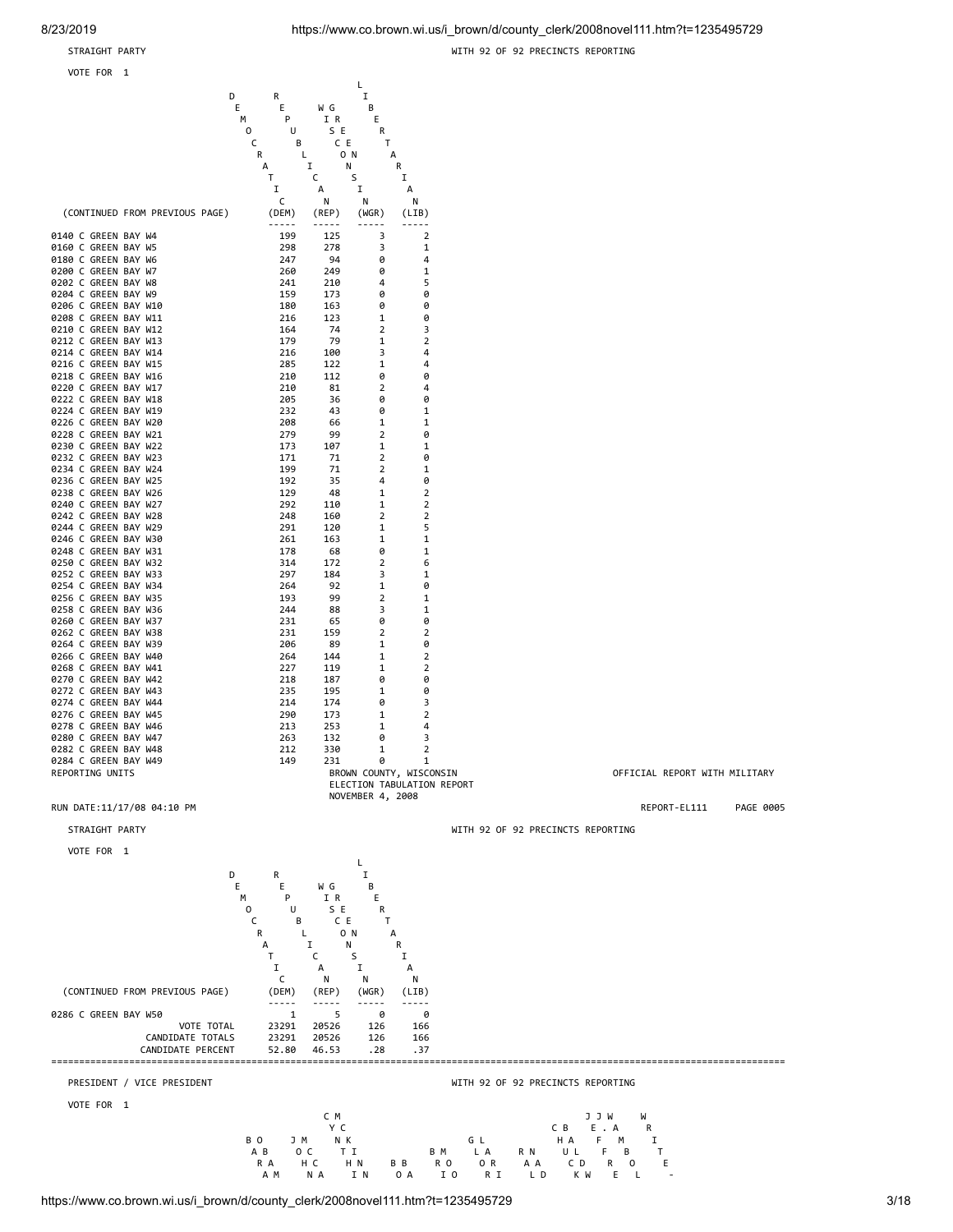**Little State Community of the Community of the Community of the Community of the Community** 

STRAIGHT PARTY WITH 92 OF 92 PRECINCTS REPORTING

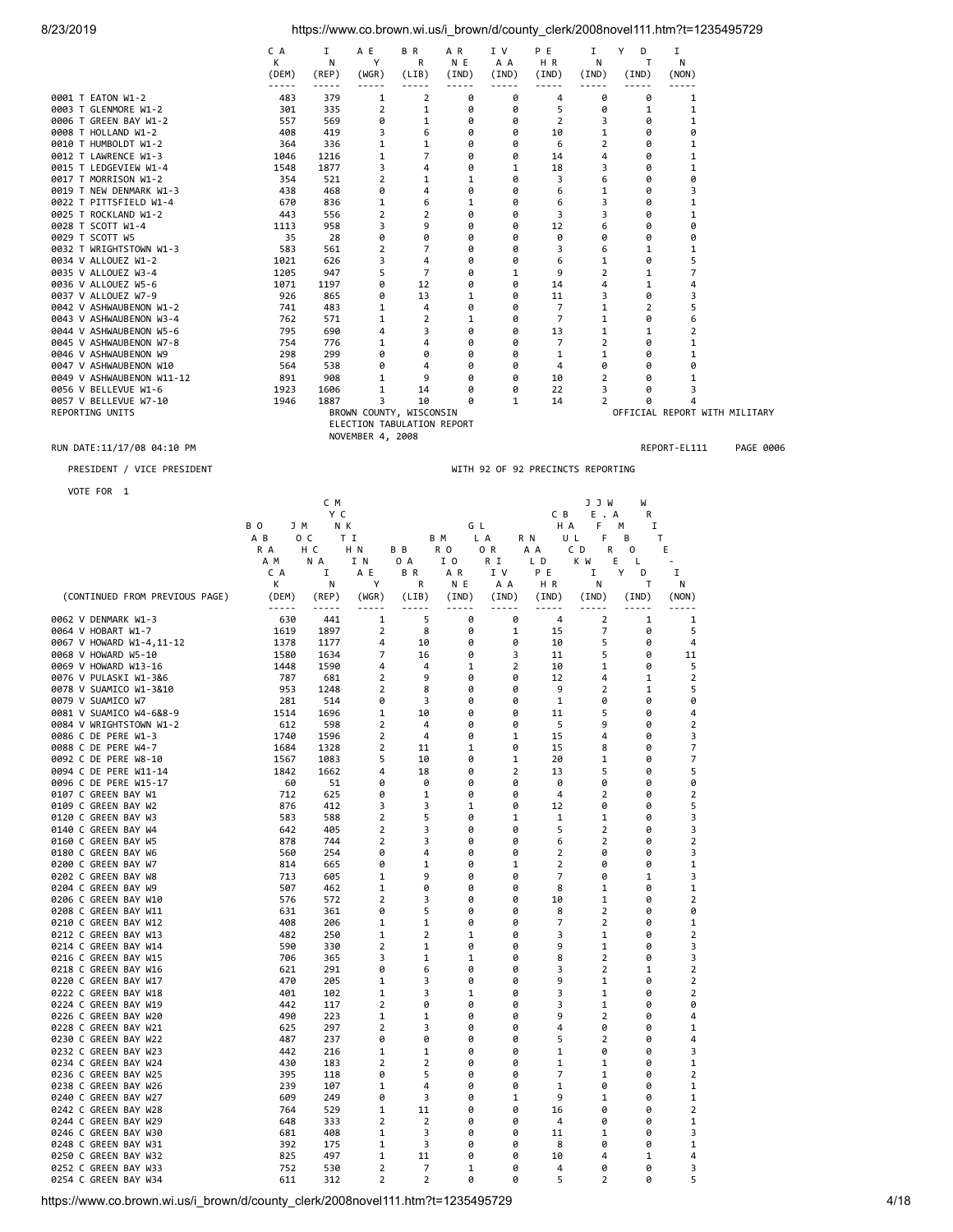# 8/23/2019 https://www.co.brown.wi.us/i brown/d/county\_clerk/2008novel111.htm?t=1235495729

|                                                  | C A            | I              | A E                                                   | B R                  | A R            | I V                               | P E            | I                   | Υ<br>D      | I                             |           |
|--------------------------------------------------|----------------|----------------|-------------------------------------------------------|----------------------|----------------|-----------------------------------|----------------|---------------------|-------------|-------------------------------|-----------|
|                                                  | к              | Ν              | Υ                                                     | R                    | N E            | A A                               | HR             | Ν                   | T           | Ν                             |           |
|                                                  | (DEM)<br>----- | (REP)<br>----- | (WGR)<br>-----                                        | (LIB)                | (IND)<br>----- | (IND)<br>-----                    | (IND)<br>----- | (IND)               | (IND)       | (NON)                         |           |
| 0001 T EATON W1-2                                | 483            | 379            | 1                                                     | $\overline{2}$       | 0              | 0                                 | 4              | 0                   | 0           | 1                             |           |
| 0003 T GLENMORE W1-2                             | 301            | 335            | 2                                                     | 1                    | 0              | 0                                 | 5              | 0                   | 1           | 1                             |           |
| 0006 T GREEN BAY W1-2                            | 557            | 569            | 0                                                     | 1                    | 0              | 0                                 | 2              | 3                   | 0           | 1                             |           |
| 0008 T HOLLAND W1-2<br>0010 T HUMBOLDT W1-2      | 408<br>364     | 419<br>336     | 3<br>1                                                | 6<br>1               | 0<br>0         | 0<br>0                            | 10<br>6        | 1<br>2              | 0<br>0      | 0<br>1                        |           |
| 0012 T LAWRENCE W1-3                             | 1046           | 1216           | 1                                                     | 7                    | 0              | 0                                 | 14             | 4                   | 0           | 1                             |           |
| 0015 T LEDGEVIEW W1-4                            | 1548           | 1877           | 3                                                     | 4                    | 0              | 1                                 | 18             | 3                   | 0           | 1                             |           |
| 0017 T MORRISON W1-2                             | 354            | 521            | 2                                                     | 1                    | 1              | 0                                 | 3              | 6                   | 0           | 0                             |           |
| 0019 T NEW DENMARK W1-3                          | 438            | 468            | 0                                                     | 4                    | 0              | 0                                 | 6              | 1                   | 0           | 3                             |           |
| 0022 T PITTSFIELD W1-4<br>0025 T ROCKLAND W1-2   | 670<br>443     | 836<br>556     | 1<br>2                                                | 6<br>2               | 1<br>0         | 0<br>0                            | 6<br>3         | 3<br>3              | 0<br>0      | 1<br>1                        |           |
| 0028 T SCOTT W1-4                                | 1113           | 958            | 3                                                     | 9                    | 0              | 0                                 | 12             | 6                   | 0           | 0                             |           |
| 0029 T SCOTT W5                                  | 35             | 28             | 0                                                     | 0                    | 0              | 0                                 | 0              | 0                   | 0           | 0                             |           |
| 0032 T WRIGHTSTOWN W1-3                          | 583            | 561            | 2                                                     | 7                    | 0              | 0                                 | 3              | 6                   | 1           | 1                             |           |
| 0034 V ALLOUEZ W1-2                              | 1021           | 626            | 3                                                     | 4                    | 0              | 0                                 | 6              | 1                   | 0           | 5                             |           |
| 0035 V ALLOUEZ W3-4<br>0036 V ALLOUEZ W5-6       | 1205<br>1071   | 947<br>1197    | 5<br>0                                                | $\overline{7}$<br>12 | 0<br>0         | 1<br>0                            | 9<br>14        | 2<br>4              | 1<br>1      | $\overline{7}$<br>4           |           |
| 0037 V ALLOUEZ W7-9                              | 926            | 865            | 0                                                     | 13                   | 1              | 0                                 | 11             | 3                   | 0           | 3                             |           |
| 0042 V ASHWAUBENON W1-2                          | 741            | 483            | 1                                                     | 4                    | 0              | 0                                 | 7              | 1                   | 2           | 5                             |           |
| 0043 V ASHWAUBENON W3-4                          | 762            | 571            | 1                                                     | 2                    | 1              | 0                                 | 7              | 1                   | 0           | 6                             |           |
| 0044 V ASHWAUBENON W5-6                          | 795            | 690            | 4                                                     | 3                    | 0              | 0                                 | 13             | 1                   | 1           | 2                             |           |
| 0045 V ASHWAUBENON W7-8<br>0046 V ASHWAUBENON W9 | 754<br>298     | 776<br>299     | 1<br>0                                                | 4<br>0               | 0<br>0         | 0<br>0                            | 7<br>1         | 2<br>1              | 0<br>0      | 1<br>1                        |           |
| 0047 V ASHWAUBENON W10                           | 564            | 538            | 0                                                     | 4                    | 0              | 0                                 | $\overline{4}$ | 0                   | 0           | 0                             |           |
| 0049 V ASHWAUBENON W11-12                        | 891            | 908            | 1                                                     | 9                    | 0              | 0                                 | 10             | 2                   | 0           | 1                             |           |
| 0056 V BELLEVUE W1-6                             | 1923           | 1606           | 1                                                     | 14                   | 0              | 0                                 | 22             | 3                   | 0           | 3                             |           |
| 0057 V BELLEVUE W7-10                            | 1946           | 1887           | 3                                                     | 10                   | 0              | 1                                 | 14             | 2                   | 0           | 4                             |           |
| REPORTING UNITS                                  |                |                | BROWN COUNTY, WISCONSIN<br>ELECTION TABULATION REPORT |                      |                |                                   |                |                     |             | OFFICIAL REPORT WITH MILITARY |           |
|                                                  |                |                | NOVEMBER 4, 2008                                      |                      |                |                                   |                |                     |             |                               |           |
| RUN DATE:11/17/08 04:10 PM                       |                |                |                                                       |                      |                |                                   |                |                     |             | REPORT-EL111                  | PAGE 0006 |
|                                                  |                |                |                                                       |                      |                |                                   |                |                     |             |                               |           |
| PRESIDENT / VICE PRESIDENT                       |                |                |                                                       |                      |                | WITH 92 OF 92 PRECINCTS REPORTING |                |                     |             |                               |           |
| VOTE FOR 1                                       |                |                |                                                       |                      |                |                                   |                |                     |             |                               |           |
|                                                  |                |                |                                                       |                      |                |                                   |                |                     |             |                               |           |
|                                                  |                | C M            |                                                       |                      |                |                                   |                | JJW                 | W           |                               |           |
|                                                  |                | Y C            |                                                       |                      |                |                                   | C B            | E<br>. A            | R           |                               |           |
|                                                  | B O<br>JМ      | NΚ             |                                                       |                      | GL             |                                   | H A            | F                   | М<br>I      |                               |           |
|                                                  | A B<br>o c     |                | ТI                                                    |                      | ВM             | L A<br>R N                        | UL             | F                   | В           | т                             |           |
|                                                  | R A<br>A M     | нс<br>N A      | H N<br>I N                                            | ВB<br>0 A            | R O<br>I O     | 0 R<br>R I                        | A A<br>L D     | R<br>C D<br>K M     | 0<br>Ε<br>L | Ε                             |           |
|                                                  | C A            | 1              | A E                                                   | BR                   | A R            | ΙV                                | P E            | 1                   | Υ<br>D      | $\mathbf I$                   |           |
|                                                  | к              | Ν              | Υ                                                     | R                    | N E            | A A                               | HR             | Ν                   | т           | N                             |           |
| (CONTINUED FROM PREVIOUS PAGE)                   | (DEM)          | (REP)          | (WGR)                                                 | (LIB)                | (IND)          | (IND)                             | (IND)          | (IND)               | (IND)       | (NON)                         |           |
| 0062 V DENMARK W1-3                              | -----<br>630   | -----<br>441   | 1                                                     | 5                    | 0              | 0                                 | 4              | 2                   | 1           | 1                             |           |
| 0064 V HOBART W1-7                               | 1619           | 1897           | 2                                                     | 8                    | 0              | 1                                 | 15             | 7                   | 0           | 5                             |           |
| 0067 V HOWARD W1-4,11-12                         | 1378           | 1177           | 4                                                     | 10                   | 0              | 0                                 | 10             | 5                   | 0           | 4                             |           |
| 0068 V HOWARD W5-10                              | 1580           | 1634           | 7                                                     | 16                   | 0              | 3                                 | 11             | 5                   | 0           | 11                            |           |
| 0069 V HOWARD W13-16                             | 1448           | 1590           | 4                                                     | 4                    | 1              | 2                                 | 10             | 1                   | 0           | 5                             |           |
| 0076 V PULASKI W1-3&6<br>0078 V SUAMICO W1-3&10  | 787<br>953     | 681<br>1248    | 2<br>2                                                | 9<br>8               | 0<br>0         | 0<br>0                            | 12<br>9        | 4<br>2              | 1<br>1      | $\overline{2}$<br>5           |           |
| 0079 V SUAMICO W7                                | 281            | 514            | 0                                                     | 3                    | 0              | 0                                 | 1              | 0                   | 0           | 0                             |           |
| 0081 V SUAMICO W4-6&8-9                          | 1514           | 1696           | 1                                                     | 10                   | 0              | 0                                 | 11             | 5                   | 0           | 4                             |           |
| 0084 V WRIGHTSTOWN W1-2                          | 612            | 598            | 2                                                     | 4                    | 0              | 0                                 | 5              | 9                   | 0           | 2                             |           |
| 0086 C DE PERE W1-3                              | 1740           | 1596           | 2                                                     | 4                    | 0              | 1                                 | 15             | 4                   | 0           | 3                             |           |
| 0088 C DE PERE W4-7<br>0092 C DE PERE W8-10      | 1684<br>1567   | 1328<br>1083   | 2<br>5                                                | 11<br>10             | 1<br>0         | 0<br>1                            | 15<br>20       | 8<br>1              | 0<br>0      | 7<br>7                        |           |
| 0094 C DE PERE W11-14                            | 1842           | 1662           | 4                                                     | 18                   | 0              | 2                                 | 13             | 5                   | 0           | 5                             |           |
| 0096 C DE PERE W15-17                            | 60             | 51             | 0                                                     | 0                    | 0              | 0                                 | 0              | 0                   | 0           | 0                             |           |
| 0107 C GREEN BAY W1                              | 712            | 625            | 0                                                     | 1                    | 0              | 0                                 | $\overline{4}$ | 2                   | 0           | 2                             |           |
| 0109 C GREEN BAY W2                              | 876            | 412            | 3                                                     | 3                    | 1              | 0                                 | 12             | 0                   | 0           | 5                             |           |
| 0120 C GREEN BAY W3<br>0140 C GREEN BAY W4       | 583<br>642     | 588<br>405     | 2<br>2                                                | 5<br>3               | 0<br>0         | 1<br>0                            | 1<br>5         | 1<br>$\overline{2}$ | 0<br>0      | 3<br>3                        |           |
| 0160 C GREEN BAY W5                              | 878            | 744            | 2                                                     | 3                    | 0              | 0                                 | 6              | 2                   | 0           | $\overline{2}$                |           |
| 0180 C GREEN BAY W6                              | 560            | 254            | 0                                                     | 4                    | 0              | 0                                 | 2              | 0                   | 0           | 3                             |           |
| 0200 C GREEN BAY W7                              | 814            | 665            | 0                                                     | 1                    | 0              | 1                                 | 2              | 0                   | 0           | 1                             |           |
| 0202 C GREEN BAY W8                              | 713            | 605            | 1                                                     | 9                    | 0              | 0                                 | 7              | 0                   | 1           | 3                             |           |
| 0204 C GREEN BAY W9<br>0206 C GREEN BAY W10      | 507<br>576     | 462<br>572     | 1<br>2                                                | 0<br>3               | 0<br>0         | 0<br>0                            | 8<br>10        | 1<br>1              | 0<br>0      | 1<br>$\overline{2}$           |           |
| 0208 C GREEN BAY W11                             | 631            | 361            | 0                                                     | 5                    | 0              | 0                                 | 8              | $\overline{2}$      | 0           | 0                             |           |
| 0210 C GREEN BAY W12                             | 408            | 206            | 1                                                     | 1                    | 0              | 0                                 | 7              | $\overline{2}$      | 0           | 1                             |           |
| 0212 C GREEN BAY W13<br>0214 C GREEN BAY W14     | 482<br>590     | 250<br>330     | 1<br>2                                                | 2<br>1               | 1<br>0         | 0<br>0                            | 3<br>9         | 1<br>1              | 0<br>0      | 2<br>3                        |           |

0212 C GREEN BAY W13 482 250 1 2 1 0 3 1 0 2<br>0214 C GREEN BAY W14 590 330 2 1 0 9 1 0 3 0216 C GREEN BAY W15 706 365 3 1 1 0 8 2 0 3 0218 C GREEN BAY W16 621 291 0 6 0 0 3 2 1 2<br>0220 C GREEN BAY W17 470 205 1 3 0 0 9 1 0 2 0220 C GREEN BAY W17 470 470 205 1 3 0 0 9 1 0 2<br>0222 C GREEN BAY W18 401 102 1 3 1 0 3 1 0 2

0224 C GREEN BAY W19 442 117 2 0 0 0 3 1 0 0 0226 C GREEN BAY W20 490 223 1 1 0 0 9 2 0 4 0228 C GREEN BAY W21 625 297 2 3 0 0 4 0 0 1 0230 C GREEN BAY W22 487 237 0 0 0 0 0 5 2 0 4<br>0232 C GREEN BAY W23 442 216 1 1 0 0 1 0 0 3 0232 C GREEN BAY W23<br>0234 C GREEN BAY W24 442 216 1 1 0 0 1 0 0 3<br>0234 C GREEN BAY W24 430 183 2 2 0 0 1 1 0 1 0234 C GREEN BAY W24 430 183 2 2 0 0 1 1 0 1<br>0236 C GREEN BAY W25 395 118 0 5 0 0 7 1 0 2 0236 C GREEN BAY W25 395 118 0 5 0 0 7 1 0 2 0238 C GREEN BAY W26 239 107 1 4 0 0 1 0 0 1 0240 C GREEN BAY W27 609 249 0 3 0 1 9 1 0 1 0242 C GREEN BAY W28 764 529 1 11 0 0 16 0 0 2 0244 C GREEN BAY W29<br>0246 C GREEN BAY W30 681 408 1 2 0 0 0 1 1 0 3 0 0 1 1 0 3 0246 C GREEN BAY W30 681 408 1 3 0 0 11 1 0 3 0248 C GREEN BAY W31 392 175 1 3 0 0 8 0 0 1<br>0250 C GREEN BAY W32 325 497 1 11 0 0 10 4 1 4<br>0252 C GREEN BAY W33 752 530 2 7 1 0 4 0 0 3 0250 C GREEN BAY W32 825 497 1 11 0 0 10 4 1 4<br>0252 C GREEN BAY W33 752 530 2 7 1 0 4 0 0 3 0252 C GREEN BAY W33<br>0254 C GREEN BAY W34 611 312 2 2 0 0 5 2 0 5

0222 C GREEN BAY W18 401 102 1 3 1 0 3 1 0 2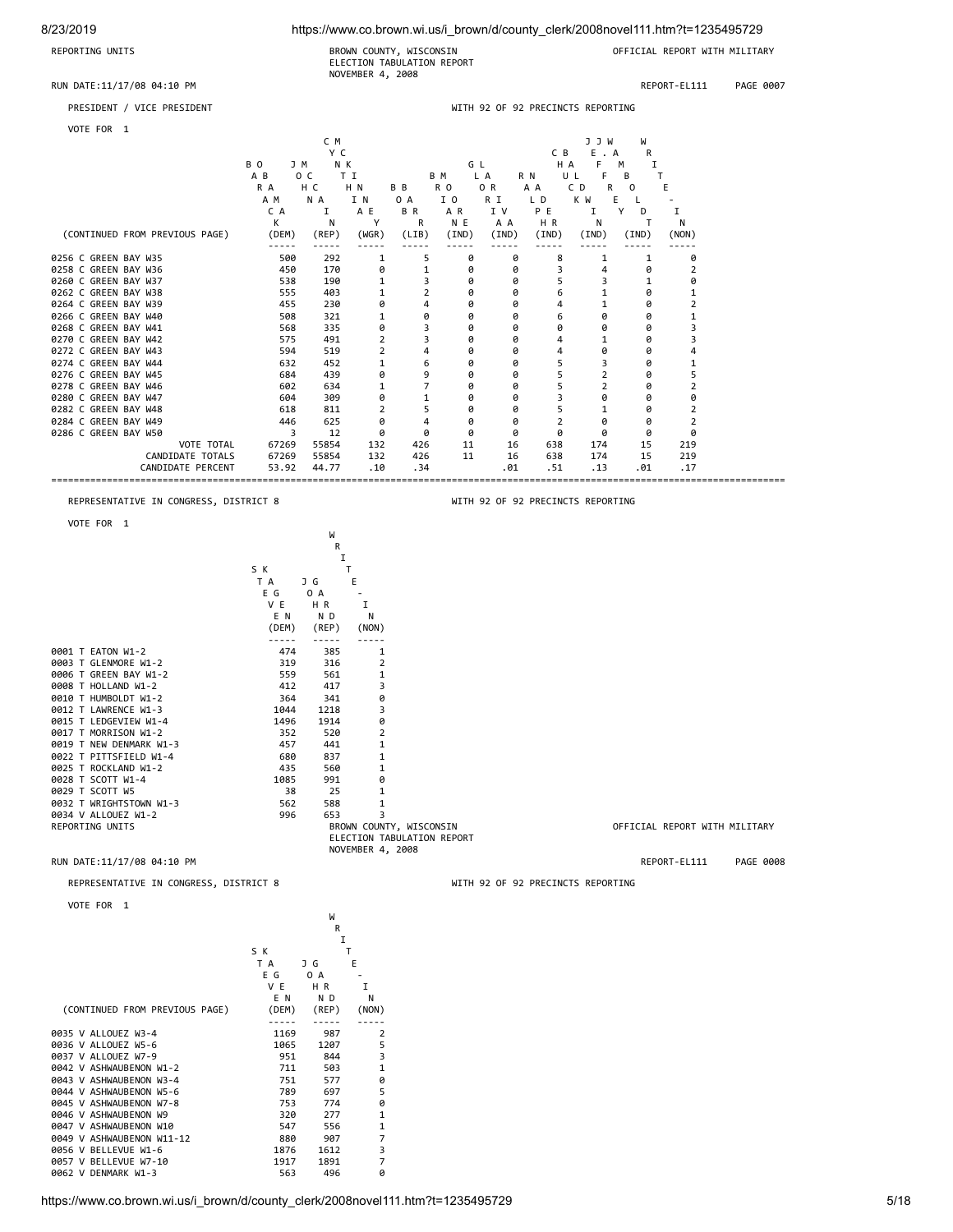8/23/2019 https://www.co.brown.wi.us/i\_brown/d/county\_clerk/2008novel111.htm?t=1235495729

REPORTING UNITS BROWN COUNTY, WISCONSIN OFFICIAL REPORT WITH MILITARY ELECTION TABULATION REPORT NOVEMBER 4, 2008

RUN DATE:11/17/08 04:10 PM REPORT-EL111 PAGE 0007

 PRESIDENT / VICE PRESIDENT WITH 92 OF 92 PRECINCTS REPORTING VOTE FOR 1 C M J J W W Y C C B E . A R BO JM NK GL HAFM I A BOCTI BMLARN UL FBT RA H C HN BB RO OR AA CD R O E A M NA IN OA IORI LD KWEL -CA I AE BRARIV PE I Y DI K N Y R NE AA HR N T N (CONTINUED FROM PREVIOUS PAGE) (DEM) (REP) (WGR) (LIB) (IND) (IND) (IND) (IND) (IND) (NON) ----- ----- ----- ----- ----- ----- ----- ----- ----- ----- 0256 C GREEN BAY W35 500 292 1 5 0 0 8 1 1 0 0258 C GREEN BAY W36 450 170 0 1 0 0 3 4 0 2 0260 C GREEN BAY W37 538 190 1 3 0 0 5 3 1 0 0262 C GREEN BAY W38 555 403 1 2 0 0 6 1 0 1<br>0264 C GREEN BAY W39 455 230 0 4 0 0 4 1 0 2 0264 C GREEN BAY W39 455 230 0 4 0 0 4 1 0 2 0266 C GREEN BAY W40 508 321 1 0 0 0 6 0 0 1 0268 C GREEN BAY W41 568 335 0 3 0 0 0 0 0 3 0270 C GREEN BAY W42 575 491 2 3 0 0 4 1 0272 C GREEN BAY W43 594 519 2 4 0 0 4 0 0 4 0274 C GREEN BAY W44 632 452 1 6 0 0 5 3 0 1 0276 C GREEN BAY W45 684 439 0 9 0 0 5 2 0 5 0278 C GREEN BAY W46 602 634 1 7 0 0 5 2 0 2 0280 C GREEN BAY W47 604 309 0 1 0 0 3 0 0 0 0282 C GREEN BAY W48 0284 C GREEN BAY W49 446 625 0 4 0 0 2 0 0 2 0286 C GREEN BAY W50 3 12 0 0 0 0 0 0 0 0 VOTE TOTAL 67269 55854 132 426 11 16 638 174 15 219 CANDIDATE TOTALS 67269 55854 132 426 11 16 638 174 15 219 CANDIDATE PERCENT ==================================================================================================================================== REPRESENTATIVE IN CONGRESS, DISTRICT 8 WITH 92 OF 92 PRECINCTS REPORTING VOTE FOR 1 W<sub>1</sub> **R R R R**  I S K T TA JG E E G O A -V E HR I E N N D N (DEM) (REP) (NON) ----- ----- ----- 0001 T EATON W1-2<br>19003 T GLENMORE W1-2 474 319 316 2 0003 T GLENMORE W1-2 319 316 2<br>10005 T GREEN BAY W1-2 319 316 2 0006 T GREEN BAY W1-2 559 561 1 0008 T HOLLAND W1-2 412 417 3<br>0010 T HUMBOLDT W1-2 412 417 417 417 417 0010 T HUMBOLDT W1-2 364 341 0<br>0012 T LAWRENCE W1-3 364 1218 3 0012 T LAWRENCE W1-3 1044 1218 3 0015 T LEDGEVIEW W1-4 1496 1914 0 0017 T MORRISON W1-2<br>
0017 T MORRISON W1-2<br>
0019 T NEW DENMARK W1-3<br>
1 457 441 1 0019 T NEW DENMARK W1-3<br>
0019 T NEW DENMARK W1-3<br>
0022 T PITTSFIELD W1-4<br>
680 837 1 0022 T PITTSFIELD W1-4 680 837 1<br>19025 T ROCKLAND W1-2 435 560 1 0025 T ROCKLAND W1-2 435 560 1<br>0025 T ROCKLAND W1-2 435 560 1<br>0028 T SCOTT W1-4 1085 991 0 0028 T SCOTT W1-4 1085 991 0 0029 T SCOTT W5 38 25 1 0032 T WRIGHTSTOWN W1-3 562 588<br>0034 V ALLOUEZ W1-2 598 553 5562 588 0034 V ALLOUEZ M1-2<br>
0034 V ALLOUEZ M1-2<br>
REPORTING UNITS<br>
REPORTING UNITS OFFICIAL REPORT WITH MILITARY ELECTION TABULATION REPORT NOVEMBER 4, 2008 RIIN DATE:11/17/08 04:10 PM REPORT-EL111 PAGE 0008 REPRESENTATIVE IN CONGRESS, DISTRICT 8 WITH 92 OF 92 PRECINCTS REPORTING VOTE FOR 1 where the contract of the contract of the contract of the contract of the contract of the contract of the contract of the contract of the contract of the contract of the contract of the contract of the contract of the cont **R R**  I S K T TA JG E E G O A - V E H R I E N N D N (CONTINUED FROM PREVIOUS PAGE) (DEM) (REP) (NON) ----- ----- ----- 0035 V ALLOUEZ W3-4 1169 987 2 0036 V ALLOUEZ W5-6 1065 1207 5 0037 V ALLOUEZ W7-9 951 844 3 0042 V ASHWAUBENON W1-2 711 503 1 0043 V ASHWAUBENON W3-4 751 577 0 0044 V ASHWAUBENON W5-6 789 697 5 0045 V ASHWAUBENON W7-8 0046 V ASHWAUBENON W9 320 277 1 0047 V ASHWAUBENON W10<br>19949 V ASHWAUBENON W11-12 12 12 1380 1907 1 0049 V ASHWAUBENON W11-12  $\begin{array}{cccc} 0 & 8 & 9 & 9 & 7 \\ 0 & 0 & 1 & 1 & 1 \\ 0 & 0 & 1 & 1 & 6 \end{array}$ 0056 V BELLEVUE W1-6<br>0057 V BELLEVUE W7-10 1917 1891 1891 7 0057 V BELLEVUE W7-10<br>0062 V DENMARK W1-3 19563 496

0062 V DENMARK W1-3 563 496 0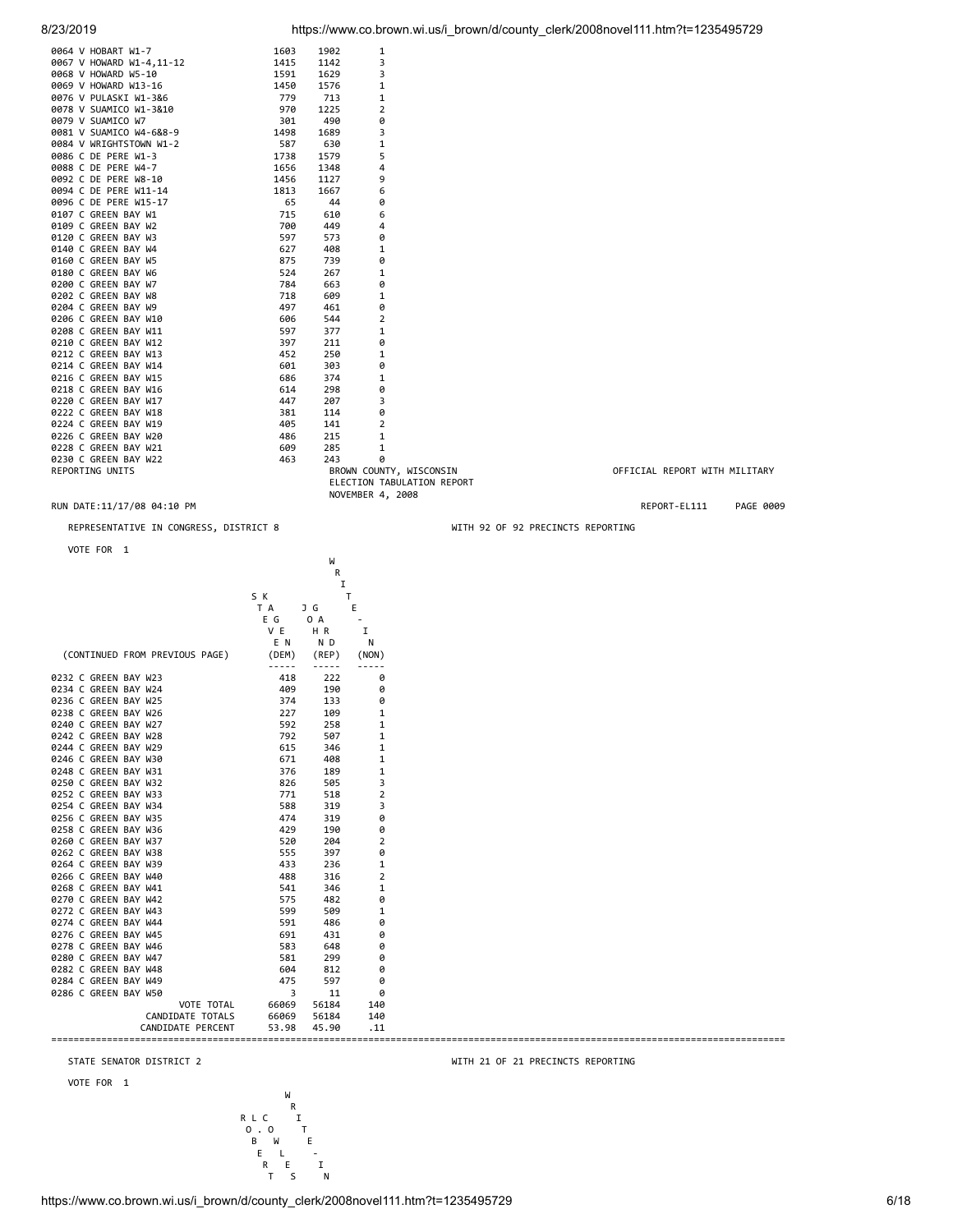

| 0064 V HOBART W1-7                                 | 1603           | 1902                 | 1                          |                                   |                               |           |
|----------------------------------------------------|----------------|----------------------|----------------------------|-----------------------------------|-------------------------------|-----------|
| 0067 V HOWARD W1-4,11-12<br>0068 V HOWARD W5-10    | 1415<br>1591   | 1142<br>1629         | 3<br>3                     |                                   |                               |           |
| 0069 V HOWARD W13-16                               | 1450           | 1576                 | 1                          |                                   |                               |           |
| 0076 V PULASKI W1-3&6                              | 779            | 713                  | 1                          |                                   |                               |           |
| 0078 V SUAMICO W1-3&10                             | 970            | 1225                 | 2                          |                                   |                               |           |
| 0079 V SUAMICO W7                                  | 301            | 490                  | 0                          |                                   |                               |           |
| 0081 V SUAMICO W4-6&8-9<br>0084 V WRIGHTSTOWN W1-2 | 1498<br>587    | 1689<br>630          | 3<br>1                     |                                   |                               |           |
| 0086 C DE PERE W1-3                                | 1738           | 1579                 | 5                          |                                   |                               |           |
| 0088 C DE PERE W4-7                                | 1656           | 1348                 | 4                          |                                   |                               |           |
| 0092 C DE PERE W8-10                               | 1456           | 1127                 | 9                          |                                   |                               |           |
| 0094 C DE PERE W11-14                              | 1813           | 1667                 | 6                          |                                   |                               |           |
| 0096 C DE PERE W15-17<br>0107 C GREEN BAY W1       | 65<br>715      | 44<br>610            | 0<br>6                     |                                   |                               |           |
| 0109 C GREEN BAY W2                                | 700            | 449                  | 4                          |                                   |                               |           |
| 0120 C GREEN BAY W3                                | 597            | 573                  | 0                          |                                   |                               |           |
| 0140 C GREEN BAY W4                                | 627            | 408                  | 1                          |                                   |                               |           |
| 0160 C GREEN BAY W5                                | 875            | 739                  | 0                          |                                   |                               |           |
| 0180 C GREEN BAY W6<br>0200 C GREEN BAY W7         | 524            | 267                  | 1<br>0                     |                                   |                               |           |
| 0202 C GREEN BAY W8                                | 784<br>718     | 663<br>609           | 1                          |                                   |                               |           |
| 0204 C GREEN BAY W9                                | 497            | 461                  | 0                          |                                   |                               |           |
| 0206 C GREEN BAY W10                               | 606            | 544                  | 2                          |                                   |                               |           |
| 0208 C GREEN BAY W11                               | 597            | 377                  | 1                          |                                   |                               |           |
| 0210 C GREEN BAY W12                               | 397            | 211                  | 0                          |                                   |                               |           |
| 0212 C GREEN BAY W13<br>0214 C GREEN BAY W14       | 452<br>601     | 250<br>303           | 1<br>0                     |                                   |                               |           |
| 0216 C GREEN BAY W15                               | 686            | 374                  | 1                          |                                   |                               |           |
| 0218 C GREEN BAY W16                               | 614            | 298                  | 0                          |                                   |                               |           |
| 0220 C GREEN BAY W17                               | 447            | 207                  | 3                          |                                   |                               |           |
| 0222 C GREEN BAY W18                               | 381            | 114                  | 0                          |                                   |                               |           |
| 0224 C GREEN BAY W19<br>0226 C GREEN BAY W20       | 405            | 141<br>215           | 2<br>1                     |                                   |                               |           |
| 0228 C GREEN BAY W21                               | 486<br>609     | 285                  | 1                          |                                   |                               |           |
| 0230 C GREEN BAY W22                               | 463            | 243                  | 0                          |                                   |                               |           |
| REPORTING UNITS                                    |                |                      | BROWN COUNTY, WISCONSIN    |                                   | OFFICIAL REPORT WITH MILITARY |           |
|                                                    |                |                      | ELECTION TABULATION REPORT |                                   |                               |           |
| RUN DATE:11/17/08 04:10 PM                         |                |                      | NOVEMBER 4, 2008           |                                   | REPORT-EL111                  | PAGE 0009 |
|                                                    |                |                      |                            |                                   |                               |           |
| REPRESENTATIVE IN CONGRESS, DISTRICT 8             |                |                      |                            | WITH 92 OF 92 PRECINCTS REPORTING |                               |           |
|                                                    |                |                      |                            |                                   |                               |           |
|                                                    |                |                      |                            |                                   |                               |           |
| VOTE FOR 1                                         |                | W                    |                            |                                   |                               |           |
|                                                    |                | R                    |                            |                                   |                               |           |
|                                                    | S K            | I<br>т               |                            |                                   |                               |           |
|                                                    | T A            | J G                  | Ε                          |                                   |                               |           |
|                                                    | ΕG             | 0 A                  |                            |                                   |                               |           |
|                                                    | V E            | ΗR                   | I                          |                                   |                               |           |
|                                                    | E N            | N D                  | Ν                          |                                   |                               |           |
| (CONTINUED FROM PREVIOUS PAGE)                     | (DEM)<br>----- | (REP)<br>$- - - - -$ | (NON)<br>$- - - - -$       |                                   |                               |           |
| 0232 C GREEN BAY W23                               | 418            | 222                  | 0                          |                                   |                               |           |
| 0234 C GREEN BAY W24                               | 409            | 190                  | 0                          |                                   |                               |           |
| 0236 C GREEN BAY W25                               | 374            | 133                  | 0                          |                                   |                               |           |
| 0238 C GREEN BAY W26<br>0240 C GREEN BAY W27       | 227<br>592     | 109<br>258           | 1<br>1                     |                                   |                               |           |
| 0242 C GREEN BAY W28                               | 792            | 507                  | 1                          |                                   |                               |           |
| 0244 C GREEN BAY W29                               | 615            | 346                  | 1                          |                                   |                               |           |
| 0246 C GREEN BAY W30                               | 671            | 408                  | 1                          |                                   |                               |           |
| 0248 C GREEN BAY W31                               | 376            | 189                  | 1                          |                                   |                               |           |
| 0250 C GREEN BAY W32<br>0252 C GREEN BAY W33       | 826<br>771     | 505<br>518           | 3<br>2                     |                                   |                               |           |
| 0254 C GREEN BAY W34                               | 588            | 319                  | 3                          |                                   |                               |           |
| 0256 C GREEN BAY W35                               | 474            | 319                  | 0                          |                                   |                               |           |
| 0258 C GREEN BAY W36                               | 429            | 190                  | 0                          |                                   |                               |           |
| 0260 C GREEN BAY W37                               | 520            | 204                  | 2                          |                                   |                               |           |
| 0262 C GREEN BAY W38                               | 555            | 397                  | 0                          |                                   |                               |           |
| 0264 C GREEN BAY W39<br>0266 C GREEN BAY W40       | 433<br>488     | 236<br>316           | 1<br>2                     |                                   |                               |           |
| 0268 C GREEN BAY W41                               | 541            | 346                  | 1                          |                                   |                               |           |
| 0270 C GREEN BAY W42                               | 575            | 482                  | 0                          |                                   |                               |           |
| 0272 C GREEN BAY W43                               | 599            | 509                  | 1                          |                                   |                               |           |
| 0274 C GREEN BAY W44                               | 591            | 486                  | 0                          |                                   |                               |           |
| 0276 C GREEN BAY W45<br>0278 C GREEN BAY W46       | 691<br>583     | 431<br>648           | 0<br>0                     |                                   |                               |           |
| 0280 C GREEN BAY W47                               | 581            | 299                  | 0                          |                                   |                               |           |
| 0282 C GREEN BAY W48                               | 604            | 812                  | 0                          |                                   |                               |           |
| 0284 C GREEN BAY W49                               | 475            | 597                  | 0                          |                                   |                               |           |
| 0286 C GREEN BAY W50                               | 3              | 11                   | 0                          |                                   |                               |           |
| <b>VOTE TOTAL</b><br>CANDIDATE TOTALS              | 66069<br>66069 | 56184<br>56184       | 140<br>140                 |                                   |                               |           |
| CANDIDATE PERCENT                                  | 53.98          | 45.90                | . 11                       |                                   |                               |           |

VOTE FOR 1



STATE SENATOR DISTRICT 2 STATE SENATOR DISTRICT 2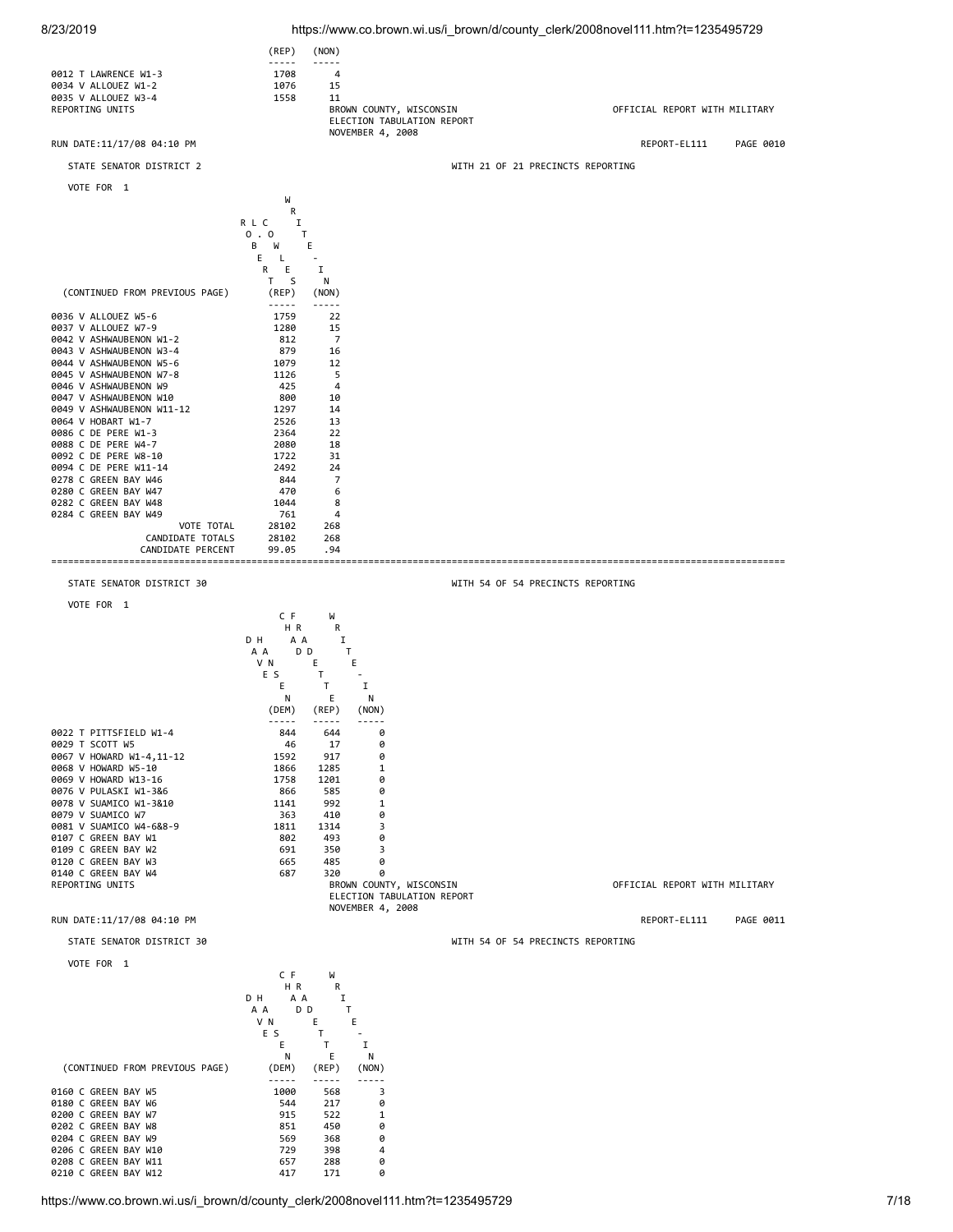

https://www.co.brown.wi.us/i\_brown/d/county\_clerk/2008novel111.htm?t=1235495729 7/18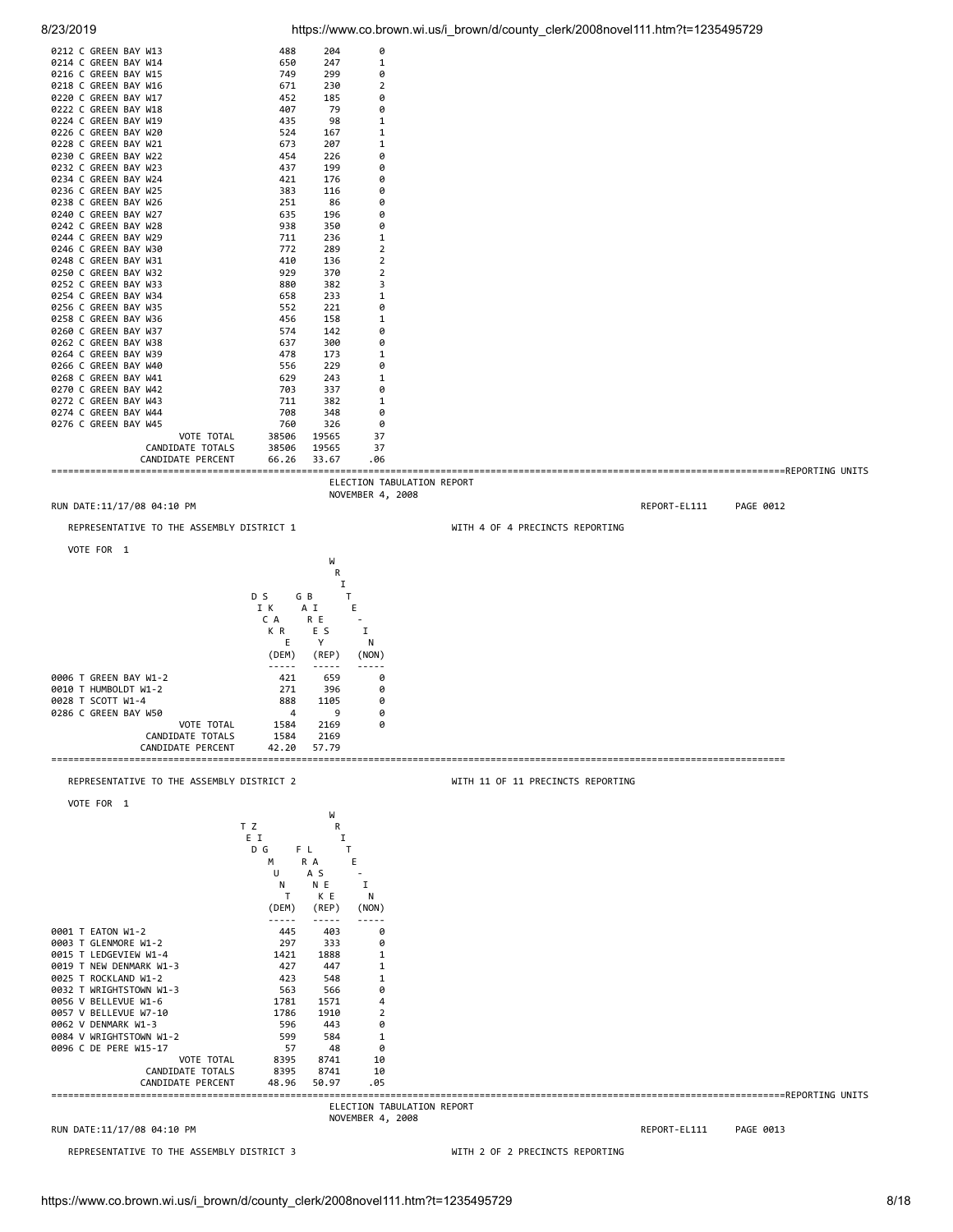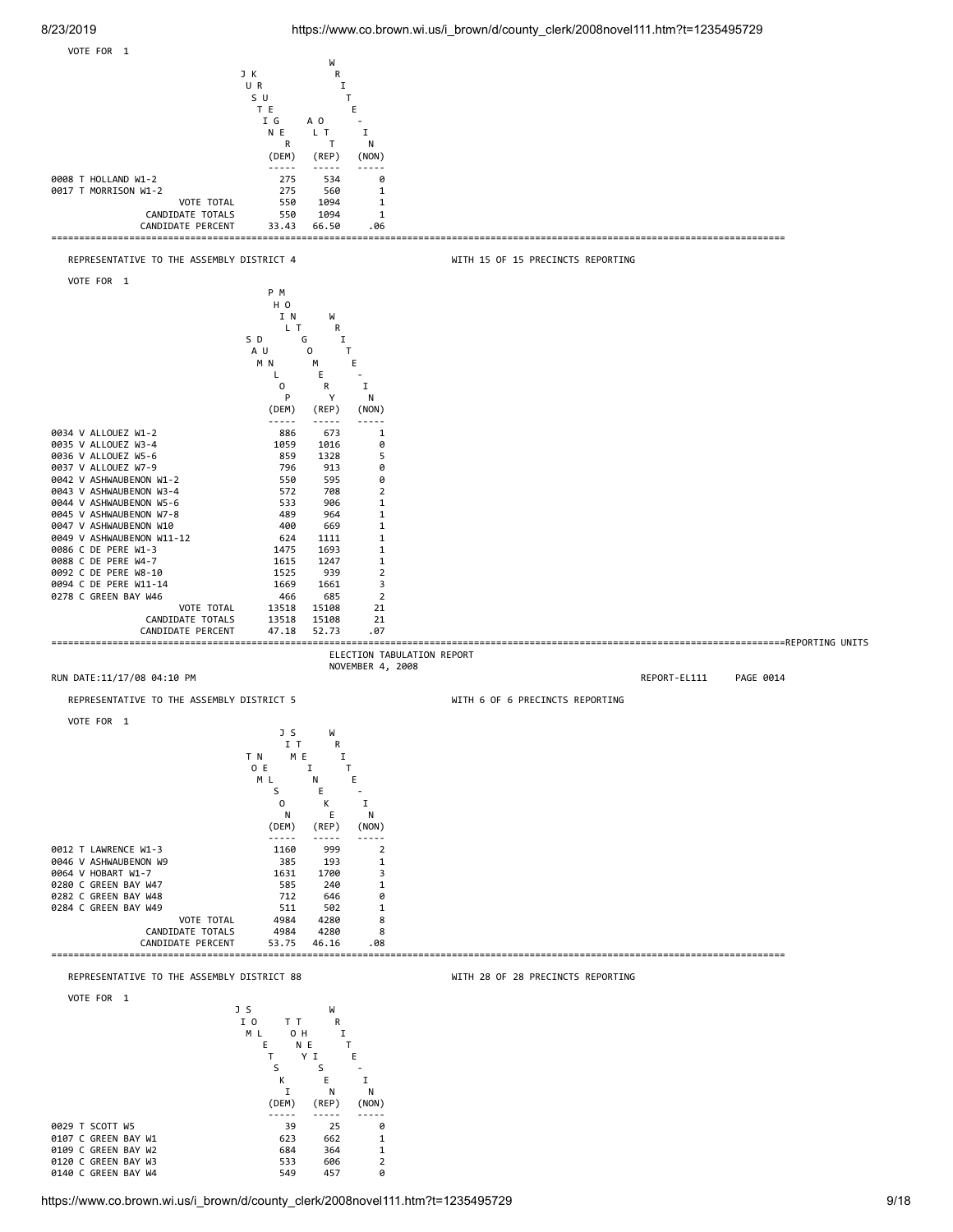

https://www.co.brown.wi.us/i\_brown/d/county\_clerk/2008novel111.htm?t=1235495729 9/18

0140 C GREEN BAY W4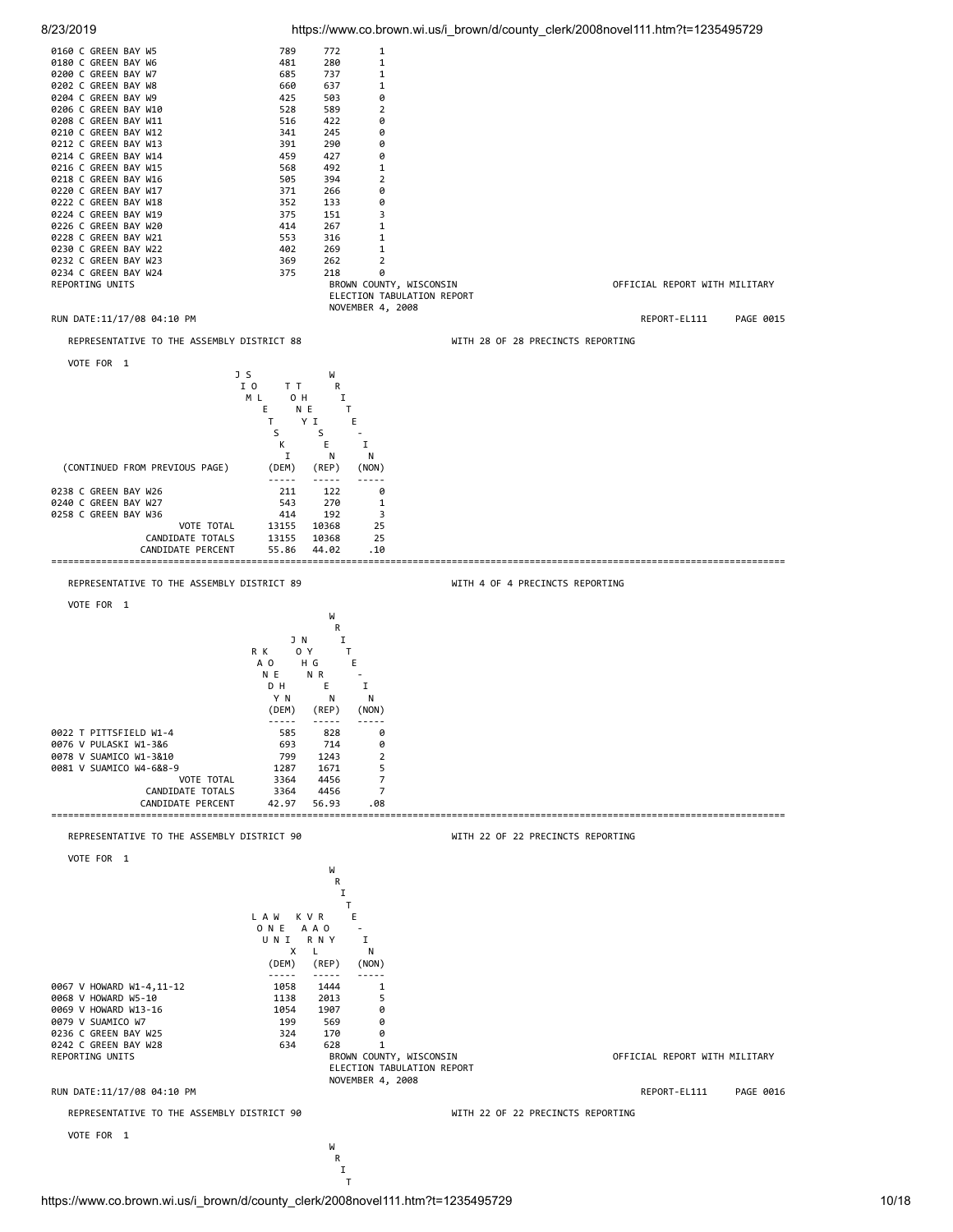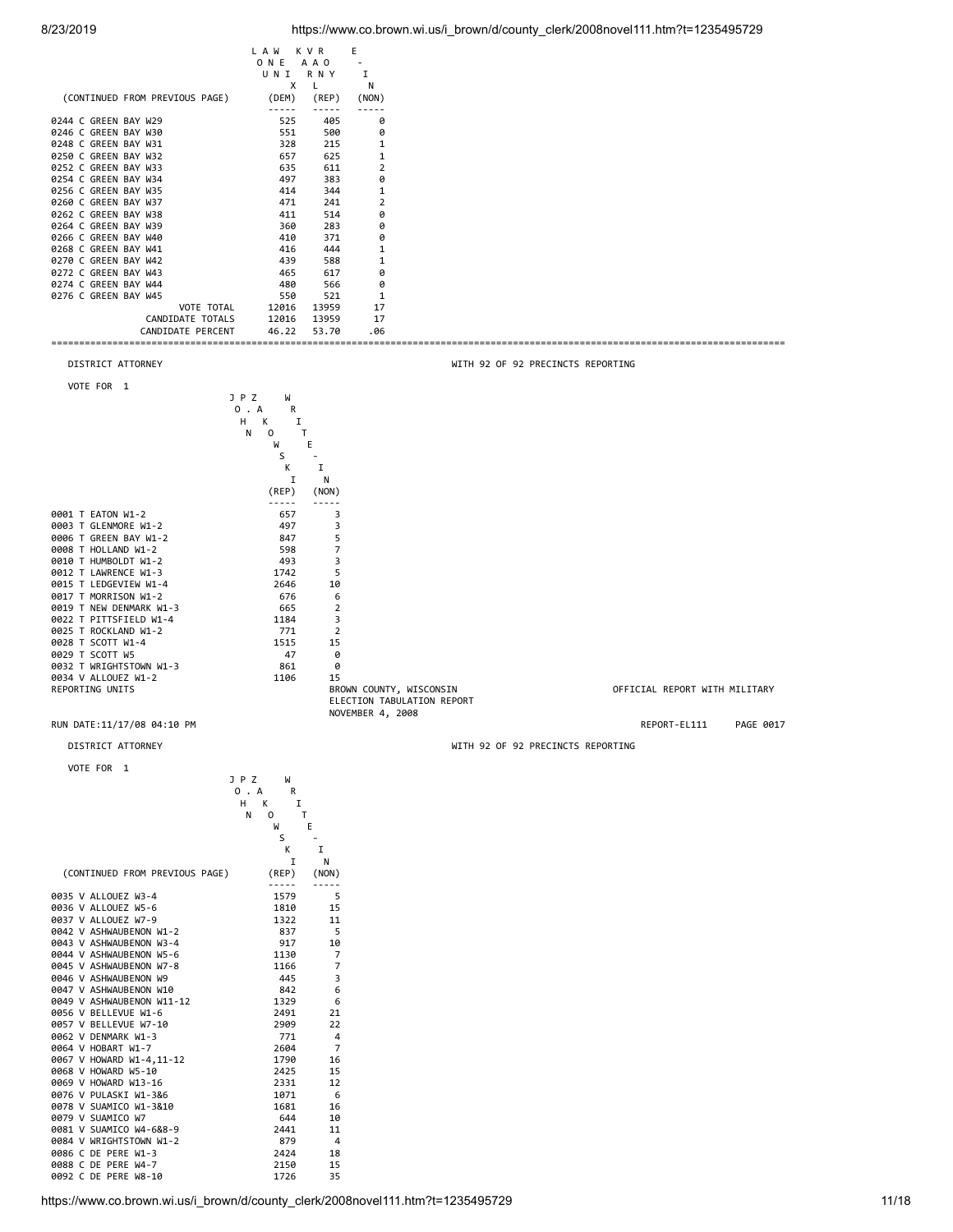|                                                     | L A W                  | K V R                            | Ε                       |                            |                                   |                                    |           |
|-----------------------------------------------------|------------------------|----------------------------------|-------------------------|----------------------------|-----------------------------------|------------------------------------|-----------|
|                                                     | O N E<br>UNI           | A A O<br>R N Y                   | I                       |                            |                                   |                                    |           |
| (CONTINUED FROM PREVIOUS PAGE)                      | х<br>(DEM)<br>-----    | L<br>(REP)<br>$- - - -$          | Ν<br>(NON)<br>-----     |                            |                                   |                                    |           |
| 0244 C GREEN BAY W29<br>0246 C GREEN BAY W30        | 525<br>551             | 405<br>500                       | 0<br>0                  |                            |                                   |                                    |           |
| 0248 C GREEN BAY W31                                | 328                    | 215                              | 1                       |                            |                                   |                                    |           |
| 0250 C GREEN BAY W32<br>0252 C GREEN BAY W33        | 657<br>635             | 625<br>611                       | 1<br>2                  |                            |                                   |                                    |           |
| 0254 C GREEN BAY W34                                | 497                    | 383                              | 0                       |                            |                                   |                                    |           |
| 0256 C GREEN BAY W35<br>0260 C GREEN BAY W37        | 414<br>471             | 344<br>241                       | 1<br>2                  |                            |                                   |                                    |           |
| 0262 C GREEN BAY W38<br>0264 C GREEN BAY W39        | 411<br>360             | 514<br>283                       | 0<br>0                  |                            |                                   |                                    |           |
| 0266 C GREEN BAY W40<br>0268 C GREEN BAY W41        | 410<br>416             | 371<br>444                       | 0<br>1                  |                            |                                   |                                    |           |
| 0270 C GREEN BAY W42                                | 439                    | 588                              | 1                       |                            |                                   |                                    |           |
| 0272 C GREEN BAY W43<br>0274 C GREEN BAY W44        | 465<br>480             | 617<br>566                       | 0<br>0                  |                            |                                   |                                    |           |
| 0276 C GREEN BAY W45<br>VOTE TOTAL                  | 550<br>12016           | 521<br>13959                     | 1<br>17                 |                            |                                   |                                    |           |
| CANDIDATE TOTALS                                    | 12016                  | 13959                            | 17                      |                            |                                   |                                    |           |
| CANDIDATE PERCENT                                   | 46.22                  | 53.70                            | .06                     |                            |                                   | ================================== |           |
| DISTRICT ATTORNEY                                   |                        |                                  |                         |                            | WITH 92 OF 92 PRECINCTS REPORTING |                                    |           |
| VOTE FOR 1<br>JPZ                                   | W                      |                                  |                         |                            |                                   |                                    |           |
|                                                     | 0 . A<br>R             |                                  |                         |                            |                                   |                                    |           |
| H                                                   | К<br>I<br>Ν<br>0       | т                                |                         |                            |                                   |                                    |           |
|                                                     | W<br>S                 | Ε                                |                         |                            |                                   |                                    |           |
|                                                     | К                      | 1                                |                         |                            |                                   |                                    |           |
|                                                     | I<br>(REP)             | Ν<br>(NON)                       |                         |                            |                                   |                                    |           |
| 0001 T EATON W1-2                                   | $- - - - -$<br>657     | 3                                |                         |                            |                                   |                                    |           |
| 0003 T GLENMORE W1-2<br>0006 T GREEN BAY W1-2       | 497<br>847             | 3<br>5                           |                         |                            |                                   |                                    |           |
| 0008 T HOLLAND W1-2                                 | 598                    | 7                                |                         |                            |                                   |                                    |           |
| 0010 T HUMBOLDT W1-2<br>0012 T LAWRENCE W1-3        | 493<br>1742            | 3<br>5                           |                         |                            |                                   |                                    |           |
| 0015 T LEDGEVIEW W1-4<br>0017 T MORRISON W1-2       | 2646<br>676            | 10<br>6                          |                         |                            |                                   |                                    |           |
| 0019 T NEW DENMARK W1-3                             | 665                    | 2                                |                         |                            |                                   |                                    |           |
| 0022 T PITTSFIELD W1-4<br>0025 T ROCKLAND W1-2      | 1184<br>771            | 3<br>2                           |                         |                            |                                   |                                    |           |
| 0028 T SCOTT W1-4<br>0029 T SCOTT W5                | 1515<br>47             | 15<br>0                          |                         |                            |                                   |                                    |           |
| 0032 T WRIGHTSTOWN W1-3                             | 861                    | 0                                |                         |                            |                                   |                                    |           |
| 0034 V ALLOUEZ W1-2<br>REPORTING UNITS              | 1106                   | 15                               | BROWN COUNTY, WISCONSIN |                            |                                   | OFFICIAL REPORT WITH MILITARY      |           |
|                                                     |                        |                                  | NOVEMBER 4, 2008        | ELECTION TABULATION REPORT |                                   |                                    |           |
| RUN DATE:11/17/08 04:10 PM                          |                        |                                  |                         |                            |                                   | REPORT-EL111                       | PAGE 0017 |
| DISTRICT ATTORNEY                                   |                        |                                  |                         |                            | WITH 92 OF 92 PRECINCTS REPORTING |                                    |           |
| VOTE FOR 1<br>JPZ                                   | W                      |                                  |                         |                            |                                   |                                    |           |
| H                                                   | 0 . A<br>R<br>K<br>1   |                                  |                         |                            |                                   |                                    |           |
|                                                     | N<br>$\circ$<br>W      | Τ<br>Ε                           |                         |                            |                                   |                                    |           |
|                                                     | S                      |                                  |                         |                            |                                   |                                    |           |
|                                                     | К<br>I                 | I<br>N                           |                         |                            |                                   |                                    |           |
| (CONTINUED FROM PREVIOUS PAGE)                      | (REP)<br>$- - - - - -$ | (NON)                            |                         |                            |                                   |                                    |           |
| 0035 V ALLOUEZ W3-4<br>0036 V ALLOUEZ W5-6          | 1579<br>1810           | 5<br>15                          |                         |                            |                                   |                                    |           |
| 0037 V ALLOUEZ W7-9                                 | 1322                   | 11                               |                         |                            |                                   |                                    |           |
| 0042 V ASHWAUBENON W1-2<br>0043 V ASHWAUBENON W3-4  | 837<br>917             | 5<br>10                          |                         |                            |                                   |                                    |           |
| 0044 V ASHWAUBENON W5-6<br>0045 V ASHWAUBENON W7-8  | 1130<br>1166           | $\overline{7}$<br>$\overline{7}$ |                         |                            |                                   |                                    |           |
| 0046 V ASHWAUBENON W9                               | 445                    | 3                                |                         |                            |                                   |                                    |           |
| 0047 V ASHWAUBENON W10<br>0049 V ASHWAUBENON W11-12 | 842<br>1329            | 6<br>6                           |                         |                            |                                   |                                    |           |
| 0056 V BELLEVUE W1-6<br>0057 V BELLEVUE W7-10       | 2491<br>2909           | 21<br>22                         |                         |                            |                                   |                                    |           |
| 0062 V DENMARK W1-3                                 | 771                    | $\overline{4}$                   |                         |                            |                                   |                                    |           |
| 0064 V HOBART W1-7<br>0067 V HOWARD W1-4,11-12      | 2604<br>1790           | $\overline{7}$<br>16             |                         |                            |                                   |                                    |           |
| 0068 V HOWARD W5-10<br>0069 V HOWARD W13-16         | 2425<br>2331           | 15<br>12                         |                         |                            |                                   |                                    |           |
| 0076 V PULASKI W1-3&6                               | 1071                   | 6                                |                         |                            |                                   |                                    |           |
| 0078 V SUAMICO W1-3&10<br>0079 V SUAMICO W7         | 1681<br>644            | 16<br>10                         |                         |                            |                                   |                                    |           |
| 0081 V SUAMICO W4-6&8-9<br>0084 V WRIGHTSTOWN W1-2  | 2441<br>879            | 11<br>4                          |                         |                            |                                   |                                    |           |
| 0086 C DE PERE W1-3                                 | 2424                   | 18                               |                         |                            |                                   |                                    |           |
| 0088 C DE PERE W4-7<br>0092 C DE PERE W8-10         | 2150<br>1726           | 15<br>35                         |                         |                            |                                   |                                    |           |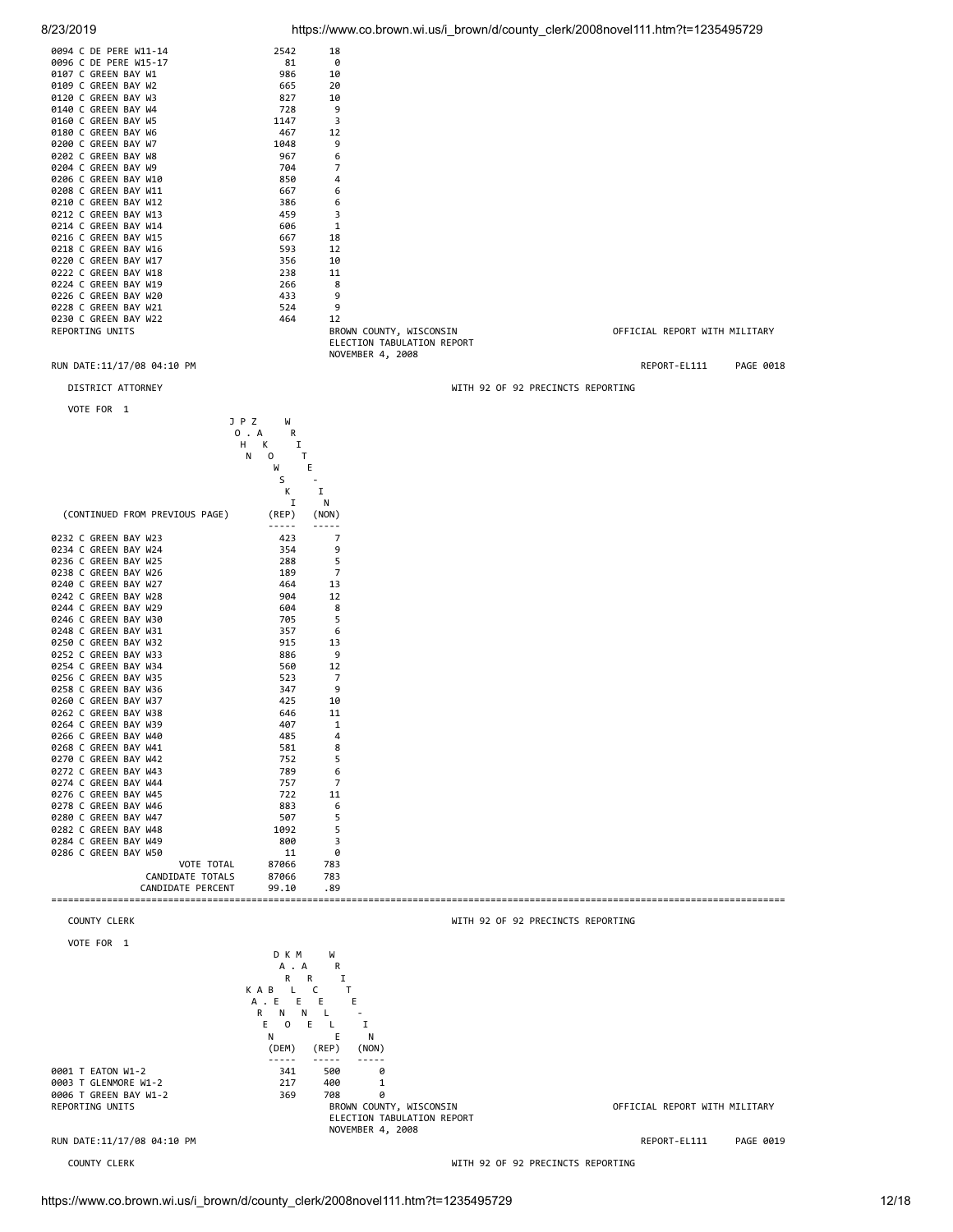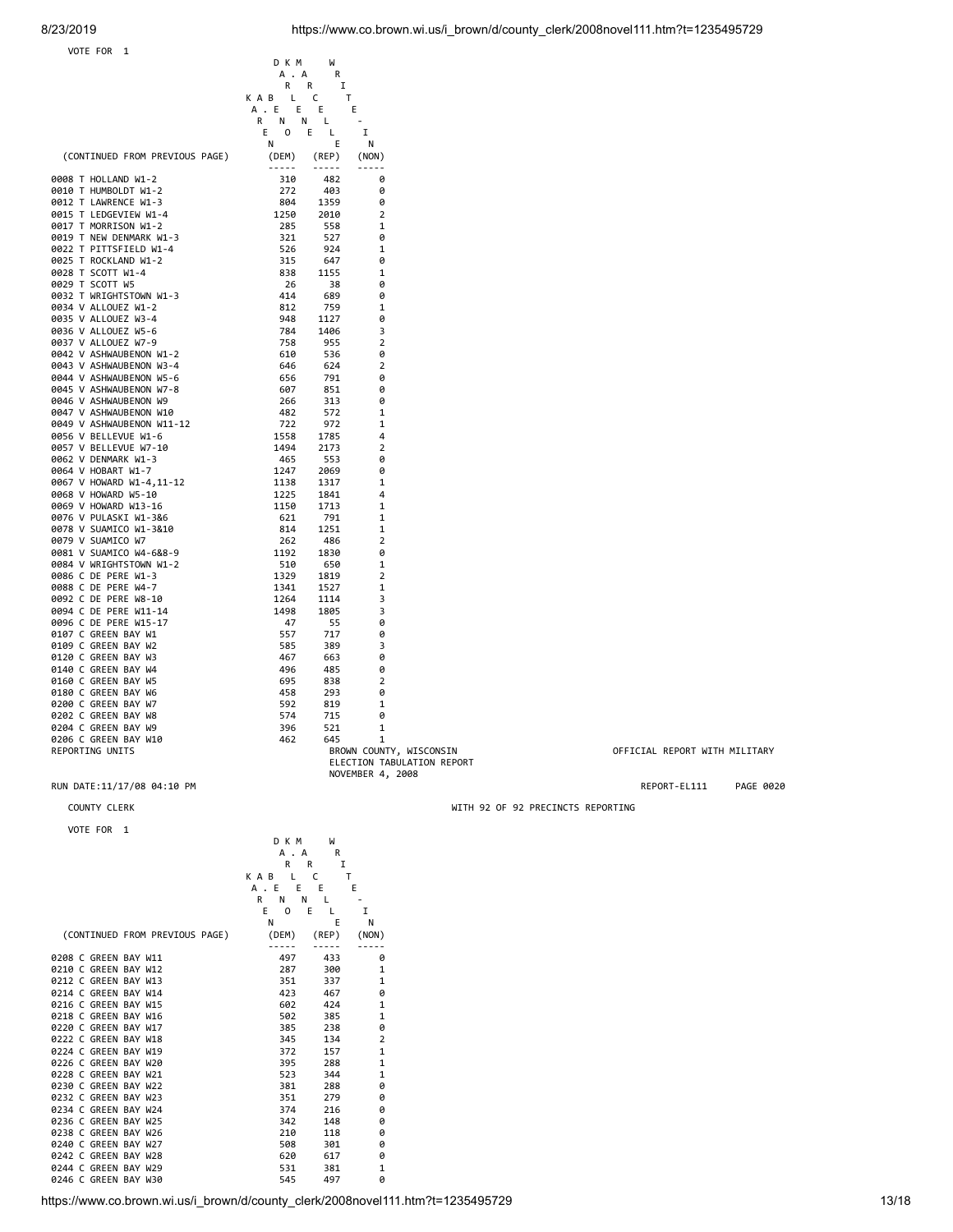# VOTE FOR 1

|                                | D K M                        | W                 |                            |
|--------------------------------|------------------------------|-------------------|----------------------------|
|                                | A . A                        | R                 |                            |
|                                | R                            | I<br>R            |                            |
|                                | K A B<br>L.                  | c                 | T                          |
|                                | A . E<br>Ε                   | Е                 | Ε                          |
|                                | N<br>R.<br>N                 | L.                |                            |
|                                | $\overline{\mathbf{0}}$<br>Е | E<br>$\mathsf{L}$ | I                          |
| (CONTINUED FROM PREVIOUS PAGE) | N<br>(DEM)                   | E                 | N                          |
|                                | $- - - - -$                  | (REP)<br>-----    | (NON)<br>-----             |
| 0008 T HOLLAND W1-2            | 310                          | 482               | 0                          |
| 0010 T HUMBOLDT W1-2           | 272                          | 403               | 0                          |
| 0012 T LAWRENCE W1-3           | 804                          | 1359              | 0                          |
| 0015 T LEDGEVIEW W1-4          | 1250                         | 2010              | $\overline{2}$             |
| 0017 T MORRISON W1-2           | 285                          | 558               | 1                          |
| 0019 T NEW DENMARK W1-3        | 321                          | 527               | 0                          |
| 0022 T PITTSFIELD W1-4         | 526                          | 924               | 1                          |
| 0025 T ROCKLAND W1-2           | 315                          | 647               | 0                          |
| 0028 T SCOTT W1-4              | 838                          | 1155              | 1                          |
| 0029 T SCOTT W5                | 26                           | 38                | 0                          |
|                                |                              |                   |                            |
| 0032 T WRIGHTSTOWN W1-3        | 414                          | 689               | 0                          |
| 0034 V ALLOUEZ W1-2            | 812                          | 759               | 1                          |
| 0035 V ALLOUEZ W3-4            | 948                          | 1127              | 0                          |
| 0036 V ALLOUEZ W5-6            | 784                          | 1406              | 3                          |
| 0037 V ALLOUEZ W7-9            | 758                          | 955               | $\mathbf 2$                |
| 0042 V ASHWAUBENON W1-2        | 610                          | 536               | 0                          |
| 0043 V ASHWAUBENON W3-4        | 646                          | 624               | $\overline{2}$             |
| 0044 V ASHWAUBENON W5-6        | 656                          | 791               | 0                          |
| 0045 V ASHWAUBENON W7-8        | 607                          | 851               | 0                          |
| 0046 V ASHWAUBENON W9          | 266                          | 313               | 0                          |
| 0047 V ASHWAUBENON W10         | 482                          | 572               | 1                          |
| 0049 V ASHWAUBENON W11-12      | 722                          | 972               | 1                          |
| 0056 V BELLEVUE W1-6           | 1558                         | 1785              | 4                          |
| 0057 V BELLEVUE W7-10          | 1494                         | 2173              | $\overline{2}$             |
| 0062 V DENMARK W1-3            | 465                          | 553               | 0                          |
| 0064 V HOBART W1-7             | 1247                         | 2069              | 0                          |
|                                |                              |                   |                            |
| 0067 V HOWARD W1-4,11-12       | 1138                         | 1317              | 1                          |
| 0068 V HOWARD W5-10            | 1225                         | 1841              | 4                          |
| 0069 V HOWARD W13-16           | 1150                         | 1713              | 1                          |
| 0076 V PULASKI W1-3&6          | 621                          | 791               | 1                          |
| 0078 V SUAMICO W1-3&10         | 814                          | 1251              | 1                          |
| 0079 V SUAMICO W7              | 262                          | 486               | $\overline{2}$             |
| 0081 V SUAMICO W4-6&8-9        | 1192                         | 1830              | 0                          |
| 0084 V WRIGHTSTOWN W1-2        | 510                          | 650               | 1                          |
| 0086 C DE PERE W1-3            | 1329                         | 1819              | $\overline{2}$             |
| 0088 C DE PERE W4-7            | 1341                         | 1527              | $\mathbf 1$                |
| 0092 C DE PERE W8-10           | 1264                         | 1114              | 3                          |
|                                |                              |                   |                            |
| 0094 C DE PERE W11-14          | 1498                         | 1805              | 3                          |
| 0096 C DE PERE W15-17          | 47                           | 55                | 0                          |
| 0107 C GREEN BAY W1            | 557                          | 717               | 0                          |
| 0109 C GREEN BAY W2            | 585                          | 389               | 3                          |
| 0120 C GREEN BAY W3            | 467                          | 663               | 0                          |
| 0140 C GREEN BAY W4            | 496                          | 485               | 0                          |
| 0160 C GREEN BAY W5            | 695                          | 838               | $\overline{2}$             |
| 0180 C GREEN BAY W6            | 458                          | 293               | 0                          |
| 0200 C GREEN BAY W7            | 592                          | 819               | $\mathbf{1}$               |
| 0202 C GREEN BAY W8            | 574                          | 715               | 0                          |
| 0204 C GREEN BAY W9            | 396                          | 521               | 1                          |
| 0206 C GREEN BAY W10           | 462                          | 645               | 1                          |
| REPORTING UNITS                |                              |                   |                            |
|                                |                              |                   | BROWN COUNTY, WISCONSIN    |
|                                |                              |                   | ELECTION TABULATION REPORT |
|                                |                              |                   | NOVEMBER 4, 2008           |
| RUN DATE:11/17/08 04:10 PM     |                              |                   |                            |

VOTE FOR 1

|                                | D K M      | W        |                |
|--------------------------------|------------|----------|----------------|
|                                | A . A      | R        |                |
|                                | R          | I<br>R   |                |
|                                | L<br>K A B | C<br>т   |                |
|                                | A.E<br>E.  | - E      | E              |
|                                | N<br>R     | N<br>-L. |                |
|                                | E<br>0     | Е<br>L   | I              |
|                                | N          | E        | N              |
| (CONTINUED FROM PREVIOUS PAGE) | (DEM)      | (REP)    | (NON)          |
|                                |            |          |                |
| 0208 C GREEN BAY W11           | 497        | 433      | 0              |
| 0210 C GREEN BAY W12           | 287        | 300      | 1              |
| 0212 C GREEN BAY W13           | 351        | 337      | 1              |
| 0214 C GREEN BAY W14           | 423        | 467      | 0              |
| 0216 C GREEN BAY W15           | 602        | 424      | 1              |
| 0218 C GREEN BAY W16           | 502        | 385      | 1              |
| 0220 C GREEN BAY W17           | 385        | 238      | 0              |
| 0222 C GREEN BAY W18           | 345        | 134      | $\overline{2}$ |
| 0224 C GREEN BAY W19           | 372        | 157      | 1              |
| 0226 C GREEN BAY W20           | 395        | 288      | 1              |
| 0228 C GREEN BAY W21           | 523        | 344      | 1              |
| 0230 C GREEN BAY W22           | 381        | 288      | 0              |
| 0232 C GREEN BAY W23           | 351        | 279      | 0              |
| 0234 C GREEN BAY W24           | 374        | 216      | 0              |
| 0236 C GREEN BAY W25           | 342        | 148      | 0              |
| 0238 C GREEN BAY W26           | 210        | 118      | 0              |
| 0240 C GREEN BAY W27           | 508        | 301      | 0              |
| 0242 C GREEN BAY W28           | 620        | 617      | 0              |
| 0244 C GREEN BAY W29           | 531        | 381      | 1              |
| 0246 C GREEN BAY W30           | 545        | 497      | ø              |
|                                |            |          |                |

COUNTY CLERK WITH 92 OF 92 PRECINCTS REPORTING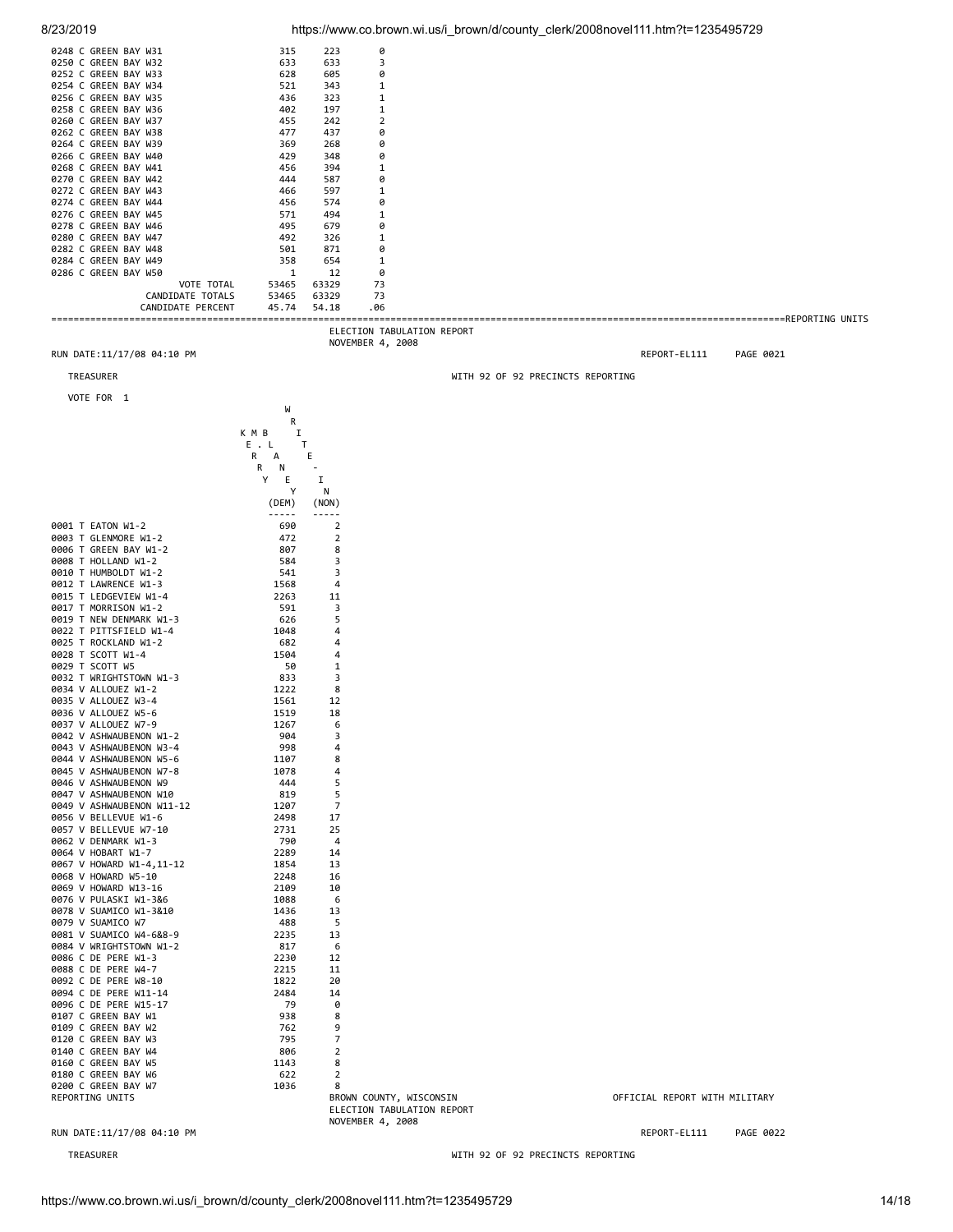| RUN DATE:11/17/08 04:10 PM |       |       |                  | REPORT-EL111<br>PAGE 0021  |
|----------------------------|-------|-------|------------------|----------------------------|
|                            |       |       | NOVEMBER 4, 2008 | ELECTION TABULATION REPORT |
| CANDIDATE PERCENT          | 45.74 | 54.18 | .06              |                            |
| CANDIDATE TOTALS           | 53465 | 63329 | 73               |                            |
| VOTE TOTAL                 | 53465 | 63329 | 73               |                            |
| 0286 C GREEN BAY W50       |       | 12    | 0                |                            |
| 0284 C GREEN BAY W49       | 358   | 654   |                  |                            |
| 0282 C GREEN BAY W48       | 501   | 871   | 0                |                            |
| 0280 C GREEN BAY W47       | 492   | 326   |                  |                            |
| 0278 C GREEN BAY W46       | 495   | 679   | ø                |                            |
| 0276 C GREEN BAY W45       | 571   | 494   |                  |                            |
| 0274 C GREEN BAY W44       | 456   | 574   | 0                |                            |
| 0272 C GREEN BAY W43       | 466   | 597   |                  |                            |
| 0270 C GREEN BAY W42       | 444   | 587   | 0                |                            |
| 0268 C GREEN BAY W41       | 456   | 394   |                  |                            |
| 0266 C GREEN BAY W40       | 429   | 348   | 0                |                            |
| 0264 C GREEN BAY W39       | 369   | 268   | 0                |                            |
| 0262 C GREEN BAY W38       | 477   | 437   | 0                |                            |
| 0260 C GREEN BAY W37       | 455   | 242   |                  |                            |
| 0258 C GREEN BAY W36       | 402   | 197   |                  |                            |
| 0256 C GREEN BAY W35       | 436   | 323   |                  |                            |
| 0254 C GREEN BAY W34       | 521   | 343   |                  |                            |
| 0252 C GREEN BAY W33       | 628   | 605   | 0                |                            |
| 0250 C GREEN BAY W32       | 633   | 633   | 3                |                            |
| 0248 C GREEN BAY W31       | 315   | 223   | 0                |                            |

where the contract of the contract of the contract of the contract of the contract of the contract of the contract of the contract of the contract of the contract of the contract of the contract of the contract of the cont

TREASURER WITH 92 OF 92 PRECINCTS REPORTING

VOTE FOR 1

|                                                    | R            |                |
|----------------------------------------------------|--------------|----------------|
|                                                    | K M B<br>I   |                |
|                                                    | E<br>L       | т              |
|                                                    | R<br>А       | E              |
|                                                    | R<br>N       |                |
|                                                    | Υ<br>E       | I              |
|                                                    | Υ            | Ν              |
|                                                    | (DEM)        | (NON)          |
|                                                    |              |                |
| T EATON W1-2<br>0001                               | 690          | 2              |
| 0003<br>T<br>GLENMORE W1-2                         | 472          | $\overline{2}$ |
| Τ<br>GREEN BAY W1-2<br>0006                        | 807          | 8              |
| HOLLAND W1-2<br>0008 T                             | 584          | 3              |
| 0010<br>T.<br>HUMBOLDT W1-2                        | 541          | 3              |
| 0012<br>т<br>LAWRENCE W1-3                         | 1568         | 4              |
| 0015<br>т<br>LEDGEVIEW W1-4                        | 2263         | 11             |
| 0017<br>T MORRISON W1-2                            | 591          | 3              |
| 0019 T<br>NEW DENMARK W1-3                         | 626          | 5              |
| T.<br>PITTSFIELD W1-4<br>0022                      | 1048         | 4              |
| ROCKLAND W1-2<br>0025<br>Т                         | 682          | 4              |
| 0028 T<br>SCOTT W1-4                               | 1504         | 4              |
| 0029 T<br>SCOTT W5                                 | 50           | 1              |
| T WRIGHTSTOWN W1-3                                 |              | 3              |
| 0032                                               | 833          |                |
| 0034 V ALLOUEZ W1-2                                | 1222         | 8              |
| 0035 V ALLOUEZ W3-4                                | 1561         | 12             |
| 0036 V ALLOUEZ W5-6<br>0037 V ALLOUEZ W7-9         | 1519         | 18             |
|                                                    | 1267         | 6              |
| 0042 V ASHWAUBENON W1-2<br>0043 V ASHWAUBENON W3-4 | 904          | 3              |
| 0044 V ASHWAUBENON W5-6                            | 998          | 4<br>8         |
| 0045 V ASHWAUBENON W7-8                            | 1107<br>1078 | 4              |
|                                                    | 444          | 5              |
| 0046 V ASHWAUBENON W9<br>0047 V ASHWAUBENON W10    | 819          | 5              |
| 0049 V ASHWAUBENON W11-12                          |              | 7              |
| 0056 V BELLEVUE W1-6                               | 1207<br>2498 | 17             |
| 0057 V BELLEVUE W7-10                              |              | 25             |
| 0062 V DENMARK W1-3                                | 2731         | 4              |
|                                                    | 790          | 14             |
| 0064 V HOBART W1-7                                 | 2289<br>1854 | 13             |
| 0067 V HOWARD W1-4,11-12<br>0068 V HOWARD W5-10    |              |                |
| 0069 V HOWARD W13-16                               | 2248<br>2109 | 16<br>10       |
| 0076 V PULASKI W1-3&6                              |              |                |
| 0078 V SUAMICO W1-3&10                             | 1088<br>1436 | 6<br>13        |
| 0079 V SUAMICO W7                                  | 488          | 5              |
| 0081 V SUAMICO W4-6&8-9                            | 2235         | 13             |
| 0084 V WRIGHTSTOWN W1-2                            | 817          | 6              |
| 0086 C DE PERE W1-3                                | 2230         | 12             |
| 0088 C<br>DE PERE W4-7                             | 2215         | 11             |
| 0092 C<br>DE PERE W8-10                            | 1822         | 20             |
| 0094 C<br>DE PERE W11-14                           | 2484         | 14             |
| 0096 C DE PERE W15-17                              | 79           | 0              |
| 0107 C<br>GREEN BAY W1                             | 938          | 8              |
| 0109 C<br>GREEN BAY W2                             | 762          | 9              |
|                                                    |              |                |
| 0120 C<br>GREEN BAY W3                             | 795          | 7<br>2         |
| 0140 C GREEN BAY W4                                | 806          |                |
| 0160 C<br>GREEN BAY W5<br>0180 C                   | 1143         | 8<br>2         |
| GREEN BAY W6<br>0200 C GREEN BAY W7                | 622<br>1036  | 8              |
|                                                    |              | <b>BRO</b>     |
| REPORTING UNITS                                    |              |                |

ELECTION TABULATION REPORT NOVEMBER 4, 2008

OFFICIAL REPORT WITH MILITARY

RUN DATE:11/17/08 04:10 PM **REPORT-EL111** PAGE 0022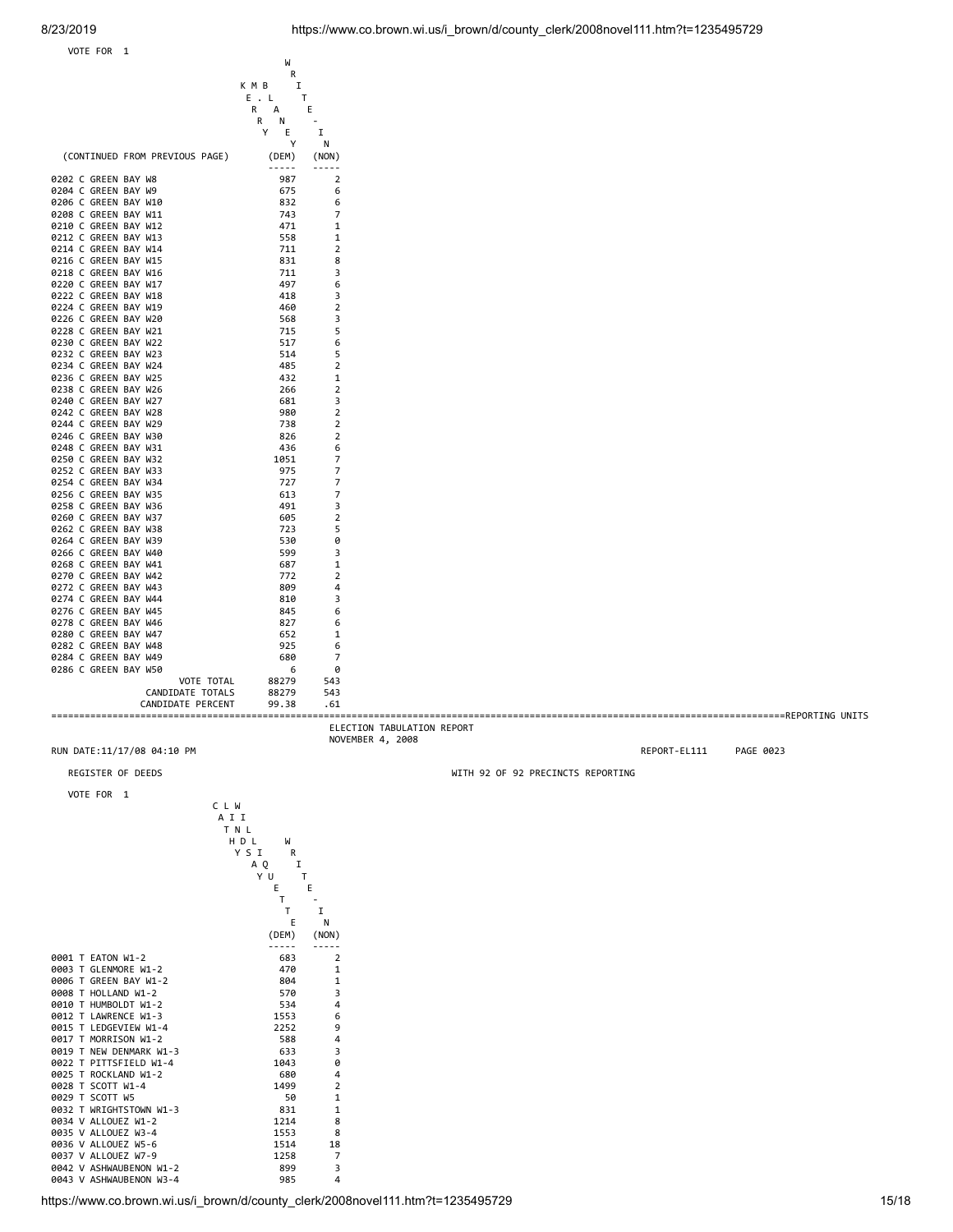0214 C GREEN BAY W14

0228 C GREEN BAY W21

0240 C GREEN BAY W27

0252 C GREEN BAY W33





|                                       | H D L<br>W |                |
|---------------------------------------|------------|----------------|
|                                       | YSI<br>R   |                |
|                                       | A O<br>I   |                |
|                                       | ΥU         | т              |
|                                       | E          | E              |
|                                       | T          |                |
|                                       | T          | I              |
|                                       | E          | Ν              |
|                                       | (DEM)      | (NON)          |
|                                       |            |                |
| 0001 T EATON W1-2                     | 683        | $\overline{2}$ |
| GLENMORE W1-2<br>0003<br>$\mathsf{T}$ | 470        | $\mathbf{1}$   |
| 0006 T<br>GREEN BAY W1-2              | 804        | $\mathbf{1}$   |
| 0008 T<br>HOLLAND W1-2                | 570        | 3              |
| HUMBOLDT W1-2<br>0010<br>$\mathsf{T}$ | 534        | 4              |
| 0012 T LAWRENCE W1-3                  | 1553       | 6              |
| 0015<br>T LEDGEVIEW W1-4              | 2252       | 9              |
| 0017 T MORRISON W1-2                  | 588        | 4              |
| 0019 T<br>NEW DENMARK W1-3            | 633        | 3              |
| 0022 T<br>PITTSFIELD W1-4             | 1043       | 0              |
| 0025 T ROCKLAND W1-2                  | 680        | 4              |
| T SCOTT W1-4<br>0028                  | 1499       | $\overline{2}$ |
| 0029 T SCOTT W5                       | 50         | $\mathbf{1}$   |
| 0032 T WRIGHTSTOWN W1-3               | 831        | $\mathbf{1}$   |
| 0034 V ALLOUEZ W1-2                   | 1214       | 8              |
| 0035 V ALLOUEZ W3-4                   | 1553       | 8              |
| 0036 V ALLOUEZ W5-6                   | 1514       | 18             |
| 0037 V ALLOUEZ W7-9                   | 1258       | 7              |
| 0042 V ASHWAUBENON W1-2               | 899        | 3              |
| 0043 V ASHWAUBENON W3-4               | 985        | 4              |
|                                       |            |                |

https://www.co.brown.wi.us/i\_brown/d/county\_clerk/2008novel111.htm?t=1235495729 15/18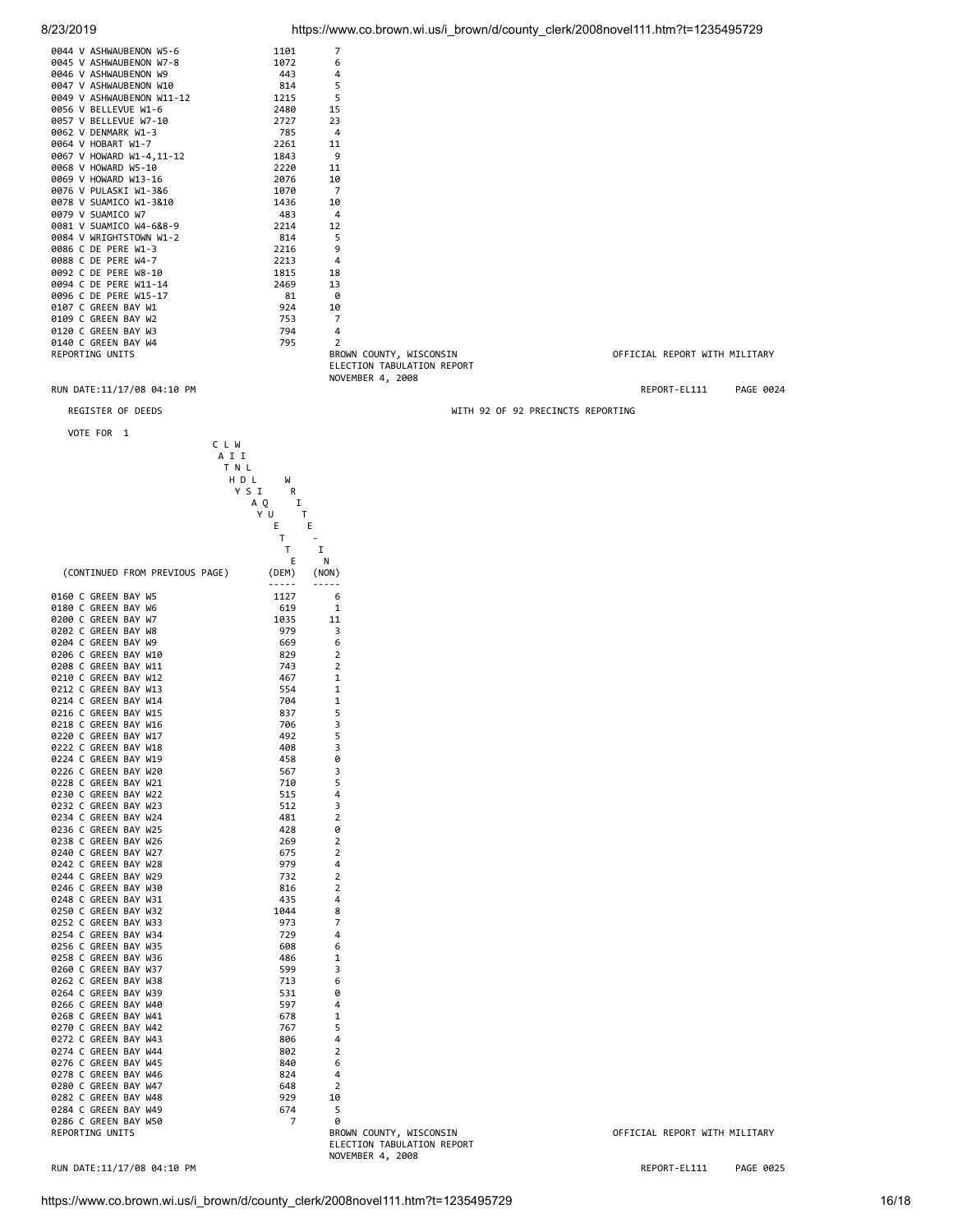| 0044 V ASHWAUBENON W5-6   | 1101  | 7                          |
|---------------------------|-------|----------------------------|
| 0045 V ASHWAUBENON W7-8   | 1072  | 6                          |
| 0046 V ASHWAUBENON W9     | 443   | 4                          |
| 0047 V ASHWAUBENON W10    | 814   | 5                          |
| 0049 V ASHWAUBENON W11-12 | 1215  | 5                          |
| 0056 V BELLEVUE W1-6      | 2480  | 15                         |
| 0057 V BELLEVUE W7-10     | 2727  | 23                         |
| 0062 V DENMARK W1-3       | 785 — | $\overline{4}$             |
| 0064 V HOBART W1-7        | 2261  | 11                         |
| 0067 V HOWARD W1-4,11-12  | 1843  | 9                          |
| 0068 V HOWARD W5-10       | 2220  | 11                         |
| 0069 V HOWARD W13-16      | 2076  | 10                         |
| 0076 V PULASKI W1-3&6     | 1070  | $\overline{7}$             |
| 0078 V SUAMICO W1-3&10    | 1436  | 10                         |
| 0079 V SUAMICO W7         | 483   | $\overline{4}$             |
| 0081 V SUAMICO W4-6&8-9   | 2214  | 12                         |
| 0084 V WRIGHTSTOWN W1-2   | 814   | 5                          |
| 0086 C DE PERE W1-3       | 2216  | 9                          |
| 0088 C DE PERE W4-7       | 2213  | $\overline{4}$             |
| 0092 C DE PERE W8-10      | 1815  | 18                         |
| 0094 C DE PERE W11-14     | 2469  | 13                         |
| 0096 C DE PERE W15-17     | 81    | ി                          |
| 0107 C GREEN BAY W1       | 924   | 10                         |
| 0109 C GREEN BAY W2       | 753   | $\overline{7}$             |
| 0120 C GREEN BAY W3       | 794   | 4                          |
| 0140 C GREEN BAY W4       | 795   | $\overline{2}$             |
| REPORTING UNITS           |       | BROWN COUNTY, WISCONSIN    |
|                           |       | ELECTION TABULATION REPORT |
|                           |       | NOVEMBER 4, 2008           |

RUN DATE:11/17/08 04:10 PM REPORT-EL111 PAGE 0024

REGISTER OF DEEDS WITH 92 OF 92 PRECINCTS REPORTING

| VOTE FOR                                     | 1                              |       |               |                |                                                       |
|----------------------------------------------|--------------------------------|-------|---------------|----------------|-------------------------------------------------------|
|                                              |                                | C L W |               |                |                                                       |
|                                              |                                | A I I |               |                |                                                       |
|                                              |                                | T N L |               |                |                                                       |
|                                              |                                | H D L | W             |                |                                                       |
|                                              |                                | YSI   | R             |                |                                                       |
|                                              |                                | A Q   | I             |                |                                                       |
|                                              |                                |       | Y U<br>т<br>E | Ε              |                                                       |
|                                              |                                |       | т             |                |                                                       |
|                                              |                                |       | T.            | I              |                                                       |
|                                              |                                |       | Ε             | Ν              |                                                       |
|                                              | (CONTINUED FROM PREVIOUS PAGE) |       | (DEM)         | (NON)          |                                                       |
|                                              |                                |       | $- - - - -$   | $\frac{1}{2}$  |                                                       |
| 0160 C GREEN BAY W5                          |                                |       | 1127          | 6              |                                                       |
| 0180 C GREEN BAY W6<br>0200 C GREEN BAY W7   |                                |       | 619<br>1035   | 1<br>11        |                                                       |
| 0202 C GREEN BAY W8                          |                                |       | 979           | 3              |                                                       |
| 0204 C GREEN BAY W9                          |                                |       | 669           | 6              |                                                       |
| 0206 C GREEN BAY W10                         |                                |       | 829           | $\overline{2}$ |                                                       |
| 0208 C GREEN BAY W11                         |                                |       | 743           | $\overline{2}$ |                                                       |
| 0210 C GREEN BAY W12                         |                                |       | 467           | 1              |                                                       |
| 0212 C GREEN BAY W13                         |                                |       | 554           | 1              |                                                       |
| 0214 C GREEN BAY W14                         |                                |       | 704           | $\mathbf{1}$   |                                                       |
| 0216 C GREEN BAY W15<br>0218 C GREEN BAY W16 |                                |       | 837<br>706    | 5<br>3         |                                                       |
| 0220 C GREEN BAY W17                         |                                |       | 492           | 5              |                                                       |
| 0222 C GREEN BAY W18                         |                                |       | 408           | 3              |                                                       |
| 0224 C GREEN BAY W19                         |                                |       | 458           | 0              |                                                       |
| 0226 C GREEN BAY W20                         |                                |       | 567           | 3              |                                                       |
| 0228 C GREEN BAY W21                         |                                |       | 710           | 5              |                                                       |
| 0230 C GREEN BAY W22                         |                                |       | 515           | 4              |                                                       |
| 0232 C GREEN BAY W23                         |                                |       | 512           | 3              |                                                       |
| 0234 C GREEN BAY W24<br>0236 C GREEN BAY W25 |                                |       | 481<br>428    | 2<br>0         |                                                       |
| 0238 C GREEN BAY W26                         |                                |       | 269           | $\overline{2}$ |                                                       |
| 0240 C GREEN BAY W27                         |                                |       | 675           | $\overline{2}$ |                                                       |
| 0242 C GREEN BAY W28                         |                                |       | 979           | 4              |                                                       |
| 0244 C GREEN BAY W29                         |                                |       | 732           | $\overline{2}$ |                                                       |
| 0246 C GREEN BAY W30                         |                                |       | 816           | $\overline{2}$ |                                                       |
| 0248 C GREEN BAY W31                         |                                |       | 435           | 4              |                                                       |
| 0250 C GREEN BAY W32                         |                                |       | 1044          | 8              |                                                       |
| 0252 C GREEN BAY W33<br>0254 C GREEN BAY W34 |                                |       | 973<br>729    | 7<br>4         |                                                       |
| 0256 C GREEN BAY W35                         |                                |       | 608           | 6              |                                                       |
| 0258 C GREEN BAY W36                         |                                |       | 486           | 1              |                                                       |
| 0260 C GREEN BAY W37                         |                                |       | 599           | 3              |                                                       |
| 0262 C GREEN BAY W38                         |                                |       | 713           | 6              |                                                       |
| 0264 C GREEN BAY W39                         |                                |       | 531           | 0              |                                                       |
| 0266 C GREEN BAY W40                         |                                |       | 597           | 4              |                                                       |
| 0268 C GREEN BAY W41                         |                                |       | 678           | 1              |                                                       |
| 0270 C GREEN BAY W42<br>0272 C GREEN BAY W43 |                                |       | 767<br>806    | 5<br>4         |                                                       |
| 0274 C GREEN BAY W44                         |                                |       | 802           | 2              |                                                       |
| 0276 C GREEN BAY W45                         |                                |       | 840           | 6              |                                                       |
| 0278 C GREEN BAY W46                         |                                |       | 824           | 4              |                                                       |
| 0280 C GREEN BAY W47                         |                                |       | 648           | $\overline{2}$ |                                                       |
| 0282 C GREEN BAY W48                         |                                |       | 929           | 10             |                                                       |
| 0284 C GREEN BAY W49                         |                                |       | 674           | 5              |                                                       |
| 0286 C GREEN BAY W50                         |                                |       | 7             | 0              |                                                       |
| REPORTING UNITS                              |                                |       |               |                | BROWN COUNTY, WISCONSIN<br>ELECTION TABULATION REPORT |
|                                              |                                |       |               |                | NOVEMBER 4, 2008                                      |
|                                              |                                |       |               |                |                                                       |

RUN DATE:11/17/08 04:10 PM **REPORT-EL111** PAGE 0025

REPORTING UNITS BROWN COUNTY, WISCONSIN OFFICIAL REPORT WITH MILITARY

OFFICIAL REPORT WITH MILITARY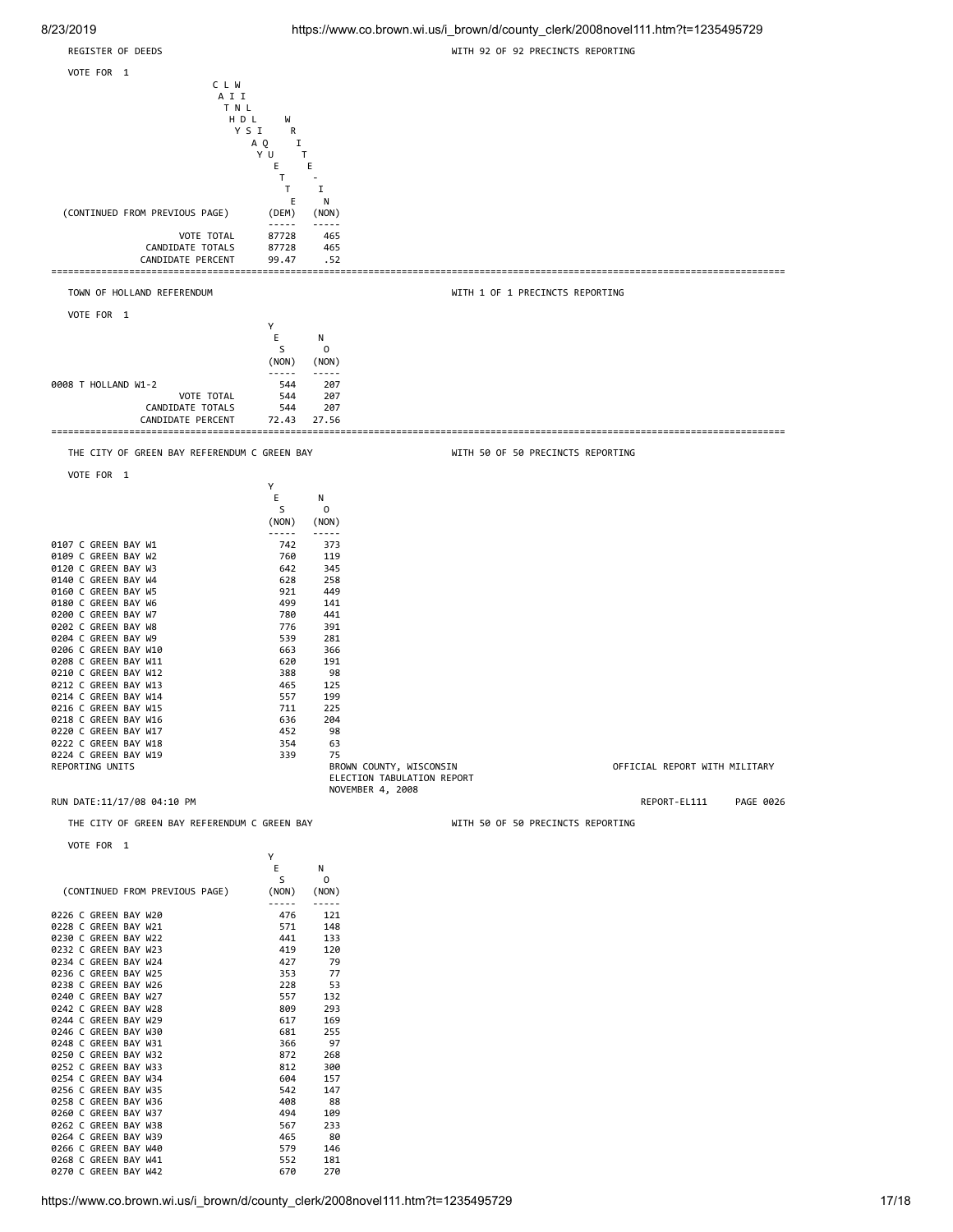# 8/23/2019 https://www.co.brown.wi.us/i\_brown/d/county\_clerk/2008novel111.htm?t=1235495729

| $-0.000$                                     |                                 |                               |                                                          |
|----------------------------------------------|---------------------------------|-------------------------------|----------------------------------------------------------|
| REGISTER OF DEEDS                            |                                 |                               | WITH 92 OF 92 PRECINCTS REPORTING                        |
| VOTE FOR 1                                   |                                 |                               |                                                          |
| C L W                                        |                                 |                               |                                                          |
| A I I<br>T N L                               |                                 |                               |                                                          |
| HD L                                         | W                               |                               |                                                          |
|                                              | YSI<br>R                        |                               |                                                          |
|                                              | A Q<br>I<br>Y U                 | T                             |                                                          |
|                                              | Е                               | E                             |                                                          |
|                                              | Τ<br>Т                          | I                             |                                                          |
|                                              | Е                               | Ν                             |                                                          |
| (CONTINUED FROM PREVIOUS PAGE)               | (DEM)                           | (NON)                         |                                                          |
| VOTE TOTAL                                   | $- - - - - -$<br>87728          | -----<br>465                  |                                                          |
| CANDIDATE TOTALS                             | 87728                           | 465                           |                                                          |
| CANDIDATE PERCENT                            | 99.47                           | .52                           |                                                          |
|                                              |                                 |                               |                                                          |
| TOWN OF HOLLAND REFERENDUM                   |                                 |                               | WITH 1 OF 1 PRECINCTS REPORTING                          |
| VOTE FOR 1                                   |                                 |                               |                                                          |
|                                              | Y<br>Е                          | N                             |                                                          |
|                                              | S                               | 0                             |                                                          |
|                                              | (NON)                           | (NON)                         |                                                          |
| 0008 T HOLLAND W1-2                          | $- - - - - -$<br>544            | -----<br>207                  |                                                          |
| VOTE TOTAL                                   | 544                             | 207                           |                                                          |
| CANDIDATE TOTALS<br>CANDIDATE PERCENT        | 544<br>72.43                    | 207<br>27.56                  |                                                          |
|                                              |                                 |                               |                                                          |
| THE CITY OF GREEN BAY REFERENDUM C GREEN BAY |                                 |                               | WITH 50 OF 50 PRECINCTS REPORTING                        |
|                                              |                                 |                               |                                                          |
| VOTE FOR 1                                   | Y                               |                               |                                                          |
|                                              | Е                               | Ν                             |                                                          |
|                                              | S<br>(NON)                      | 0<br>(NON)                    |                                                          |
|                                              | .                               | $- - - - -$                   |                                                          |
| 0107 C GREEN BAY W1                          | 742                             | 373                           |                                                          |
| 0109 C GREEN BAY W2<br>0120 C GREEN BAY W3   | 760<br>642                      | 119<br>345                    |                                                          |
| 0140 C GREEN BAY W4                          | 628                             | 258                           |                                                          |
| 0160 C GREEN BAY W5                          | 921                             | 449                           |                                                          |
| 0180 C GREEN BAY W6<br>0200 C GREEN BAY W7   | 499<br>780                      | 141<br>441                    |                                                          |
| 0202 C GREEN BAY W8                          | 776                             | 391                           |                                                          |
| 0204 C GREEN BAY W9                          | 539                             | 281                           |                                                          |
| 0206 C GREEN BAY W10<br>0208 C GREEN BAY W11 | 663                             | 366                           |                                                          |
| 0210 C GREEN BAY W12                         | 620<br>388                      | 191<br>98                     |                                                          |
| 0212 C GREEN BAY W13                         | 465                             | 125                           |                                                          |
| 0214 C GREEN BAY W14<br>0216 C GREEN BAY W15 | 557<br>711                      | 199<br>225                    |                                                          |
| 0218 C GREEN BAY W16                         | 636                             | 204                           |                                                          |
| 0220 C GREEN BAY W17                         | 452                             | 98                            |                                                          |
| 0222 C GREEN BAY W18<br>0224 C GREEN BAY W19 | 354<br>339                      | 63<br>75                      |                                                          |
| REPORTING UNITS                              |                                 |                               | BROWN COUNTY, WISCONSIN<br>OFFICIAL REPORT WITH MILITARY |
|                                              |                                 |                               | ELECTION TABULATION REPORT                               |
| RUN DATE:11/17/08 04:10 PM                   |                                 |                               | NOVEMBER 4, 2008<br>REPORT-EL111<br>PAGE 0026            |
| THE CITY OF GREEN BAY REFERENDUM C GREEN BAY |                                 |                               | WITH 50 OF 50 PRECINCTS REPORTING                        |
|                                              |                                 |                               |                                                          |
| VOTE FOR 1                                   | Y                               |                               |                                                          |
|                                              | E.                              | N                             |                                                          |
|                                              | S.                              | $\mathsf{o}$                  |                                                          |
| (CONTINUED FROM PREVIOUS PAGE)               | (NON)<br>$\cdots \cdots \cdots$ | (NON)<br>$\cdots\cdots\cdots$ |                                                          |
| 0226 C GREEN BAY W20                         | 476                             | 121                           |                                                          |
| 0228 C GREEN BAY W21<br>0230 C GREEN BAY W22 | 571<br>441                      | 148<br>133                    |                                                          |
| 0232 C GREEN BAY W23                         | 419                             | 120                           |                                                          |
| 0234 C GREEN BAY W24                         | 427                             | 79                            |                                                          |
| 0236 C GREEN BAY W25<br>0238 C GREEN BAY W26 | 353<br>228                      | 77<br>53                      |                                                          |
| 0240 C GREEN BAY W27                         | 557                             | 132                           |                                                          |
| 0242 C GREEN BAY W28                         | 809                             | 293                           |                                                          |
| 0244 C GREEN BAY W29<br>0246 C GREEN BAY W30 | 617<br>681                      | 169<br>255                    |                                                          |
| 0248 C GREEN BAY W31                         | 366                             | 97                            |                                                          |
| 0250 C GREEN BAY W32                         | 872                             | 268                           |                                                          |
| 0252 C GREEN BAY W33                         | 812                             | 300                           |                                                          |
| 0254 C GREEN BAY W34<br>0256 C GREEN BAY W35 | 604<br>542                      | 157<br>147                    |                                                          |
| 0258 C GREEN BAY W36                         | 408                             | - 88                          |                                                          |
| 0260 C GREEN BAY W37                         | 494                             | 109                           |                                                          |
| 0262 C GREEN BAY W38<br>0264 C GREEN BAY W39 | 567<br>465                      | 233<br>80                     |                                                          |
| 0266 C GREEN BAY W40                         | 579                             | 146                           |                                                          |
| 0268 C GREEN BAY W41                         | 552                             | 181                           |                                                          |
| 0270 C GREEN BAY W42                         | 670                             | 270                           |                                                          |